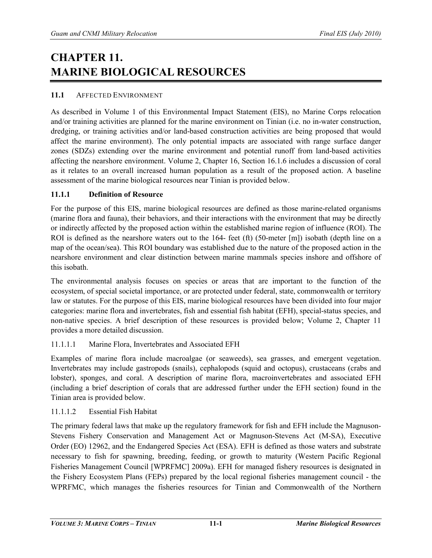# **CHAPTER 11. MARINE BIOLOGICAL RESOURCES**

#### **11.1** AFFECTED ENVIRONMENT

As described in Volume 1 of this Environmental Impact Statement (EIS), no Marine Corps relocation and/or training activities are planned for the marine environment on Tinian (i.e. no in-water construction, dredging, or training activities and/or land-based construction activities are being proposed that would affect the marine environment). The only potential impacts are associated with range surface danger zones (SDZs) extending over the marine environment and potential runoff from land-based activities affecting the nearshore environment. Volume 2, Chapter 16, Section 16.1.6 includes a discussion of coral as it relates to an overall increased human population as a result of the proposed action. A baseline assessment of the marine biological resources near Tinian is provided below.

#### **11.1.1 Definition of Resource**

For the purpose of this EIS, marine biological resources are defined as those marine-related organisms (marine flora and fauna), their behaviors, and their interactions with the environment that may be directly or indirectly affected by the proposed action within the established marine region of influence (ROI). The ROI is defined as the nearshore waters out to the 164- feet (ft) (50-meter [m]) isobath (depth line on a map of the ocean/sea). This ROI boundary was established due to the nature of the proposed action in the nearshore environment and clear distinction between marine mammals species inshore and offshore of this isobath.

The environmental analysis focuses on species or areas that are important to the function of the ecosystem, of special societal importance, or are protected under federal, state, commonwealth or territory law or statutes. For the purpose of this EIS, marine biological resources have been divided into four major categories: marine flora and invertebrates, fish and essential fish habitat (EFH), special-status species, and non-native species. A brief description of these resources is provided below; Volume 2, Chapter 11 provides a more detailed discussion.

#### 11.1.1.1 Marine Flora, Invertebrates and Associated EFH

Examples of marine flora include macroalgae (or seaweeds), sea grasses, and emergent vegetation. Invertebrates may include gastropods (snails), cephalopods (squid and octopus), crustaceans (crabs and lobster), sponges, and coral. A description of marine flora, macroinvertebrates and associated EFH (including a brief description of corals that are addressed further under the EFH section) found in the Tinian area is provided below.

#### 11.1.1.2 Essential Fish Habitat

The primary federal laws that make up the regulatory framework for fish and EFH include the Magnuson-Stevens Fishery Conservation and Management Act or Magnuson-Stevens Act (M-SA), Executive Order (EO) 12962, and the Endangered Species Act (ESA). EFH is defined as those waters and substrate necessary to fish for spawning, breeding, feeding, or growth to maturity (Western Pacific Regional Fisheries Management Council [WPRFMC] 2009a). EFH for managed fishery resources is designated in the Fishery Ecosystem Plans (FEPs) prepared by the local regional fisheries management council - the WPRFMC, which manages the fisheries resources for Tinian and Commonwealth of the Northern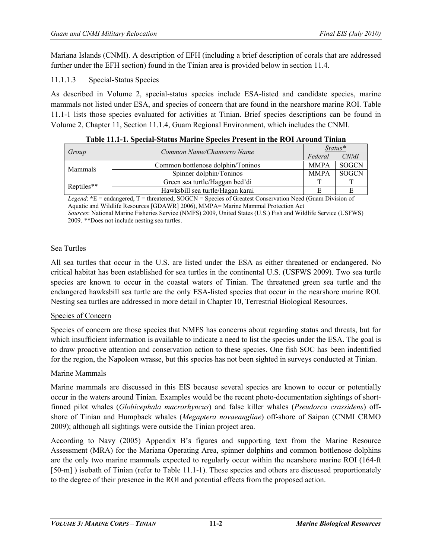Mariana Islands (CNMI). A description of EFH (including a brief description of corals that are addressed further under the EFH section) found in the Tinian area is provided below in section 11.4.

11.1.1.3 Special-Status Species

As described in Volume 2, special-status species include ESA-listed and candidate species, marine mammals not listed under ESA, and species of concern that are found in the nearshore marine ROI. Table 11.1-1 lists those species evaluated for activities at Tinian. Brief species descriptions can be found in Volume 2, Chapter 11, Section 11.1.4, Guam Regional Environment, which includes the CNMI.

|            | Common Name/Chamorro Name<br>Federal |             | $Status*$    |  |
|------------|--------------------------------------|-------------|--------------|--|
| Group      |                                      |             | <b>CNMI</b>  |  |
| Mammals    | Common bottlenose dolphin/Toninos    | <b>MMPA</b> | <b>SOGCN</b> |  |
|            | Spinner dolphin/Toninos              | <b>MMPA</b> | <b>SOGCN</b> |  |
|            | Green sea turtle/Haggan bed'di       |             |              |  |
| Reptiles** | Hawksbill sea turtle/Hagan karai     |             |              |  |
| .          | - -                                  | .           | $\sim$       |  |

**Table 11.1-1. Special-Status Marine Species Present in the ROI Around Tinian**

*Legend*:  $E =$  endangered, T = threatened; SOGCN = Species of Greatest Conservation Need (Guam Division of Aquatic and Wildlife Resources [GDAWR] 2006), MMPA= Marine Mammal Protection Act

*Sources*: National Marine Fisheries Service (NMFS) 2009, United States (U.S.) Fish and Wildlife Service (USFWS) 2009. \*\*Does not include nesting sea turtles.

# Sea Turtles

All sea turtles that occur in the U.S. are listed under the ESA as either threatened or endangered. No critical habitat has been established for sea turtles in the continental U.S. (USFWS 2009). Two sea turtle species are known to occur in the coastal waters of Tinian. The threatened green sea turtle and the endangered hawksbill sea turtle are the only ESA-listed species that occur in the nearshore marine ROI. Nesting sea turtles are addressed in more detail in Chapter 10, Terrestrial Biological Resources.

# Species of Concern

Species of concern are those species that NMFS has concerns about regarding status and threats, but for which insufficient information is available to indicate a need to list the species under the ESA. The goal is to draw proactive attention and conservation action to these species. One fish SOC has been indentified for the region, the Napoleon wrasse, but this species has not been sighted in surveys conducted at Tinian.

# Marine Mammals

Marine mammals are discussed in this EIS because several species are known to occur or potentially occur in the waters around Tinian. Examples would be the recent photo-documentation sightings of shortfinned pilot whales (*Globicephala macrorhyncus*) and false killer whales (*Pseudorca crassidens*) offshore of Tinian and Humpback whales (*Megaptera novaeangliae*) off-shore of Saipan (CNMI CRMO 2009); although all sightings were outside the Tinian project area.

According to Navy (2005) Appendix B's figures and supporting text from the Marine Resource Assessment (MRA) for the Mariana Operating Area, spinner dolphins and common bottlenose dolphins are the only two marine mammals expected to regularly occur within the nearshore marine ROI (164-ft [50-m] ) isobath of Tinian (refer to Table 11.1-1). These species and others are discussed proportionately to the degree of their presence in the ROI and potential effects from the proposed action.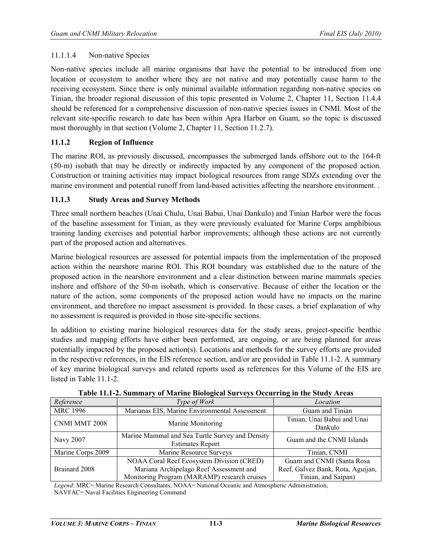#### 11.1.1.4 Non-native Species

Non-native species include all marine organisms that have the potential to be introduced from one location or ecosystem to another where they are not native and may potentially cause harm to the receiving ecosystem. Since there is only minimal available information regarding non-native species on Tinian, the broader regional discussion of this topic presented in Volume 2, Chapter 11, Section 11.4.4 should be referenced for a comprehensive discussion of non-native species issues in CNMI. Most of the relevant site-specific research to date has been within Apra Harbor on Guam, so the topic is discussed most thoroughly in that section (Volume 2, Chapter 11, Section 11.2.7).

#### **11.1.2 Region of Influence**

The marine ROI, as previously discussed, encompasses the submerged lands offshore out to the 164-ft (50-m) isobath that may be directly or indirectly impacted by any component of the proposed action. Construction or training activities may impact biological resources from range SDZs extending over the marine environment and potential runoff from land-based activities affecting the nearshore environment. .

#### **11.1.3 Study Areas and Survey Methods**

Three small northern beaches (Unai Chulu, Unai Babui, Unai Dankulo) and Tinian Harbor were the focus of the baseline assessment for Tinian, as they were previously evaluated for Marine Corps amphibious training landing exercises and potential harbor improvements; although these actions are not currently part of the proposed action and alternatives.

Marine biological resources are assessed for potential impacts from the implementation of the proposed action within the nearshore marine ROI. This ROI boundary was established due to the nature of the proposed action in the nearshore environment and a clear distinction between marine mammals species inshore and offshore of the 50-m isobath, which is conservative. Because of either the location or the nature of the action, some components of the proposed action would have no impacts on the marine environment, and therefore no impact assessment is provided. In these cases, a brief explanation of why no assessment is required is provided in those site-specific sections.

In addition to existing marine biological resources data for the study areas, project-specific benthic studies and mapping efforts have either been performed, are ongoing, or are being planned for areas potentially impacted by the proposed action(s). Locations and methods for the survey efforts are provided in the respective references, in the EIS reference section, and/or are provided in Table 11.1-2. A summary of key marine biological surveys and related reports used as references for this Volume of the EIS are listed in Table 11.1-2.

| Reference                          | Type of Work                                                               | Location                               |
|------------------------------------|----------------------------------------------------------------------------|----------------------------------------|
| <b>MRC 1996</b>                    | Marianas EIS, Marine Environmental Assessment                              | Guam and Tinian                        |
| CNMI MMT 2008<br>Marine Monitoring |                                                                            | Tinian, Unai Babui and Unai<br>Dankulo |
| <b>Navy 2007</b>                   | Marine Mammal and Sea Turtle Survey and Density<br><b>Estimates Report</b> | Guam and the CNMI Islands              |
| Marine Corps 2009                  | Marine Resource Surveys                                                    | Tinian, CNMI                           |
|                                    | NOAA Coral Reef Ecosystem Division (CRED)                                  | Guam and CNMI (Santa Rosa              |
| Brainard 2008                      | Mariana Archipelago Reef Assessment and                                    | Reef, Galvez Bank, Rota, Aguijan,      |
|                                    | Monitoring Program (MARAMP) research cruises                               | Tinian, and Saipan)                    |

|  | Table 11.1-2. Summary of Marine Biological Surveys Occurring in the Study Areas |  |  |
|--|---------------------------------------------------------------------------------|--|--|
|  |                                                                                 |  |  |

*Legend*: MRC= Marine Research Consultants, NOAA= National Oceanic and Atmospheric Administration, NAVFAC= Naval Facilities Engineering Command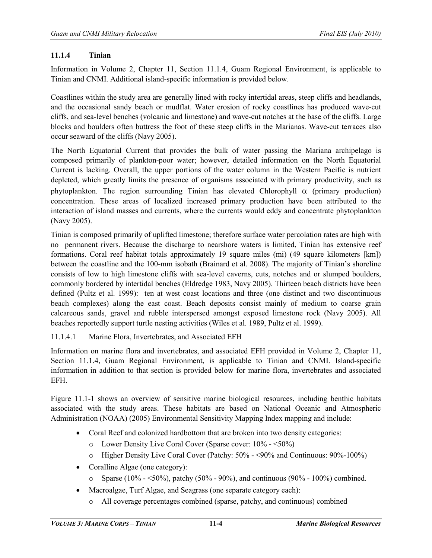#### **11.1.4 Tinian**

Information in Volume 2, Chapter 11, Section 11.1.4, Guam Regional Environment, is applicable to Tinian and CNMI. Additional island-specific information is provided below.

Coastlines within the study area are generally lined with rocky intertidal areas, steep cliffs and headlands, and the occasional sandy beach or mudflat. Water erosion of rocky coastlines has produced wave-cut cliffs, and sea-level benches (volcanic and limestone) and wave-cut notches at the base of the cliffs. Large blocks and boulders often buttress the foot of these steep cliffs in the Marianas. Wave-cut terraces also occur seaward of the cliffs (Navy 2005).

The North Equatorial Current that provides the bulk of water passing the Mariana archipelago is composed primarily of plankton-poor water; however, detailed information on the North Equatorial Current is lacking. Overall, the upper portions of the water column in the Western Pacific is nutrient depleted, which greatly limits the presence of organisms associated with primary productivity, such as phytoplankton. The region surrounding Tinian has elevated Chlorophyll  $\alpha$  (primary production) concentration. These areas of localized increased primary production have been attributed to the interaction of island masses and currents, where the currents would eddy and concentrate phytoplankton (Navy 2005).

Tinian is composed primarily of uplifted limestone; therefore surface water percolation rates are high with no permanent rivers. Because the discharge to nearshore waters is limited, Tinian has extensive reef formations. Coral reef habitat totals approximately 19 square miles (mi) (49 square kilometers [km]) between the coastline and the 100-mm isobath (Brainard et al. 2008). The majority of Tinian's shoreline consists of low to high limestone cliffs with sea-level caverns, cuts, notches and or slumped boulders, commonly bordered by intertidal benches (Eldredge 1983, Navy 2005). Thirteen beach districts have been defined (Pultz et al. 1999): ten at west coast locations and three (one distinct and two discontinuous beach complexes) along the east coast. Beach deposits consist mainly of medium to coarse grain calcareous sands, gravel and rubble interspersed amongst exposed limestone rock (Navy 2005). All beaches reportedly support turtle nesting activities (Wiles et al. 1989, Pultz et al. 1999).

11.1.4.1 Marine Flora, Invertebrates, and Associated EFH

Information on marine flora and invertebrates, and associated EFH provided in Volume 2, Chapter 11, Section 11.1.4, Guam Regional Environment, is applicable to Tinian and CNMI. Island-specific information in addition to that section is provided below for marine flora, invertebrates and associated EFH.

Figure 11.1-1 shows an overview of sensitive marine biological resources, including benthic habitats associated with the study areas. These habitats are based on National Oceanic and Atmospheric Administration (NOAA) (2005) Environmental Sensitivity Mapping Index mapping and include:

- Coral Reef and colonized hardbottom that are broken into two density categories:
	- o Lower Density Live Coral Cover (Sparse cover: 10% <50%)
	- o Higher Density Live Coral Cover (Patchy: 50% <90% and Continuous: 90%-100%)
- Coralline Algae (one category):
	- $\circ$  Sparse (10% <50%), patchy (50% 90%), and continuous (90% 100%) combined.
- Macroalgae, Turf Algae, and Seagrass (one separate category each):
	- o All coverage percentages combined (sparse, patchy, and continuous) combined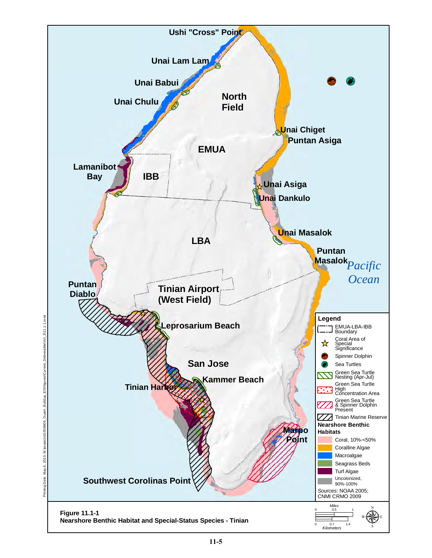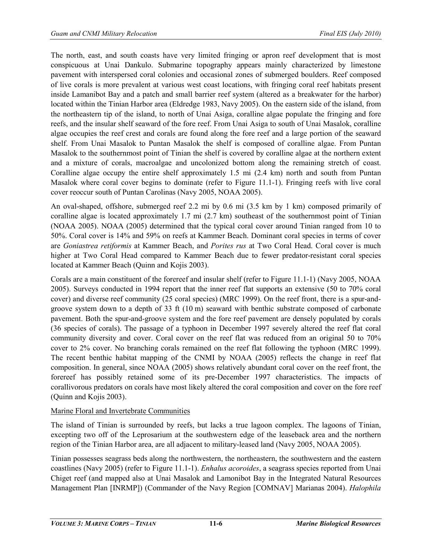The north, east, and south coasts have very limited fringing or apron reef development that is most conspicuous at Unai Dankulo. Submarine topography appears mainly characterized by limestone pavement with interspersed coral colonies and occasional zones of submerged boulders. Reef composed of live corals is more prevalent at various west coast locations, with fringing coral reef habitats present inside Lamanibot Bay and a patch and small barrier reef system (altered as a breakwater for the harbor) located within the Tinian Harbor area (Eldredge 1983, Navy 2005). On the eastern side of the island, from the northeastern tip of the island, to north of Unai Asiga, coralline algae populate the fringing and fore reefs, and the insular shelf seaward of the fore reef. From Unai Asiga to south of Unai Masalok, coralline algae occupies the reef crest and corals are found along the fore reef and a large portion of the seaward shelf. From Unai Masalok to Puntan Masalok the shelf is composed of coralline algae. From Puntan Masalok to the southernmost point of Tinian the shelf is covered by coralline algae at the northern extent and a mixture of corals, macroalgae and uncolonized bottom along the remaining stretch of coast. Coralline algae occupy the entire shelf approximately 1.5 mi (2.4 km) north and south from Puntan Masalok where coral cover begins to dominate (refer to Figure 11.1-1). Fringing reefs with live coral cover reoccur south of Puntan Carolinas (Navy 2005, NOAA 2005).

An oval-shaped, offshore, submerged reef 2.2 mi by 0.6 mi (3.5 km by 1 km) composed primarily of coralline algae is located approximately 1.7 mi (2.7 km) southeast of the southernmost point of Tinian (NOAA 2005). NOAA (2005) determined that the typical coral cover around Tinian ranged from 10 to 50%. Coral cover is 14% and 59% on reefs at Kammer Beach. Dominant coral species in terms of cover are *Goniastrea retiformis* at Kammer Beach, and *Porites rus* at Two Coral Head. Coral cover is much higher at Two Coral Head compared to Kammer Beach due to fewer predator-resistant coral species located at Kammer Beach (Quinn and Kojis 2003).

Corals are a main constituent of the forereef and insular shelf (refer to Figure 11.1-1) (Navy 2005, NOAA 2005). Surveys conducted in 1994 report that the inner reef flat supports an extensive (50 to 70% coral cover) and diverse reef community (25 coral species) (MRC 1999). On the reef front, there is a spur-andgroove system down to a depth of 33 ft (10 m) seaward with benthic substrate composed of carbonate pavement. Both the spur-and-groove system and the fore reef pavement are densely populated by corals (36 species of corals). The passage of a typhoon in December 1997 severely altered the reef flat coral community diversity and cover. Coral cover on the reef flat was reduced from an original 50 to 70% cover to 2% cover. No branching corals remained on the reef flat following the typhoon (MRC 1999). The recent benthic habitat mapping of the CNMI by NOAA (2005) reflects the change in reef flat composition. In general, since NOAA (2005) shows relatively abundant coral cover on the reef front, the forereef has possibly retained some of its pre-December 1997 characteristics. The impacts of corallivorous predators on corals have most likely altered the coral composition and cover on the fore reef (Quinn and Kojis 2003).

# Marine Floral and Invertebrate Communities

The island of Tinian is surrounded by reefs, but lacks a true lagoon complex. The lagoons of Tinian, excepting two off of the Leprosarium at the southwestern edge of the leaseback area and the northern region of the Tinian Harbor area, are all adjacent to military-leased land (Navy 2005, NOAA 2005).

Tinian possesses seagrass beds along the northwestern, the northeastern, the southwestern and the eastern coastlines (Navy 2005) (refer to Figure 11.1-1). *Enhalus acoroides*, a seagrass species reported from Unai Chiget reef (and mapped also at Unai Masalok and Lamonibot Bay in the Integrated Natural Resources Management Plan [INRMP]) (Commander of the Navy Region [COMNAV] Marianas 2004). *Halophila*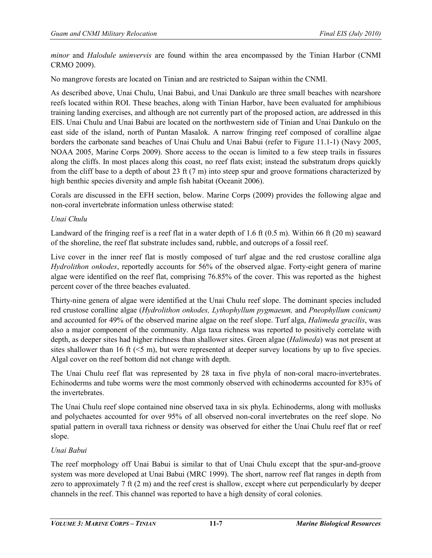*minor* and *Halodule uninvervis* are found within the area encompassed by the Tinian Harbor (CNMI CRMO 2009).

No mangrove forests are located on Tinian and are restricted to Saipan within the CNMI.

As described above, Unai Chulu, Unai Babui, and Unai Dankulo are three small beaches with nearshore reefs located within ROI. These beaches, along with Tinian Harbor, have been evaluated for amphibious training landing exercises, and although are not currently part of the proposed action, are addressed in this EIS. Unai Chulu and Unai Babui are located on the northwestern side of Tinian and Unai Dankulo on the east side of the island, north of Puntan Masalok. A narrow fringing reef composed of coralline algae borders the carbonate sand beaches of Unai Chulu and Unai Babui (refer to Figure 11.1-1) (Navy 2005, NOAA 2005, Marine Corps 2009). Shore access to the ocean is limited to a few steep trails in fissures along the cliffs. In most places along this coast, no reef flats exist; instead the substratum drops quickly from the cliff base to a depth of about 23 ft (7 m) into steep spur and groove formations characterized by high benthic species diversity and ample fish habitat (Oceanit 2006).

Corals are discussed in the EFH section, below. Marine Corps (2009) provides the following algae and non-coral invertebrate information unless otherwise stated:

## *Unai Chulu*

Landward of the fringing reef is a reef flat in a water depth of 1.6 ft (0.5 m). Within 66 ft (20 m) seaward of the shoreline, the reef flat substrate includes sand, rubble, and outcrops of a fossil reef.

Live cover in the inner reef flat is mostly composed of turf algae and the red crustose coralline alga *Hydrolithon onkodes*, reportedly accounts for 56% of the observed algae. Forty-eight genera of marine algae were identified on the reef flat, comprising 76.85% of the cover. This was reported as the highest percent cover of the three beaches evaluated.

Thirty-nine genera of algae were identified at the Unai Chulu reef slope. The dominant species included red crustose coralline algae (*Hydrolithon onkodes, Lythophyllum pygmaeum,* and *Pneophyllum conicum)*  and accounted for 49% of the observed marine algae on the reef slope. Turf alga, *Halimeda gracilis*, was also a major component of the community. Alga taxa richness was reported to positively correlate with depth, as deeper sites had higher richness than shallower sites. Green algae (*Halimeda*) was not present at sites shallower than 16 ft  $(5 m)$ , but were represented at deeper survey locations by up to five species. Algal cover on the reef bottom did not change with depth.

The Unai Chulu reef flat was represented by 28 taxa in five phyla of non-coral macro-invertebrates. Echinoderms and tube worms were the most commonly observed with echinoderms accounted for 83% of the invertebrates.

The Unai Chulu reef slope contained nine observed taxa in six phyla. Echinoderms, along with mollusks and polychaetes accounted for over 95% of all observed non-coral invertebrates on the reef slope. No spatial pattern in overall taxa richness or density was observed for either the Unai Chulu reef flat or reef slope.

#### *Unai Babui*

The reef morphology off Unai Babui is similar to that of Unai Chulu except that the spur-and-groove system was more developed at Unai Babui (MRC 1999). The short, narrow reef flat ranges in depth from zero to approximately 7 ft (2 m) and the reef crest is shallow, except where cut perpendicularly by deeper channels in the reef. This channel was reported to have a high density of coral colonies.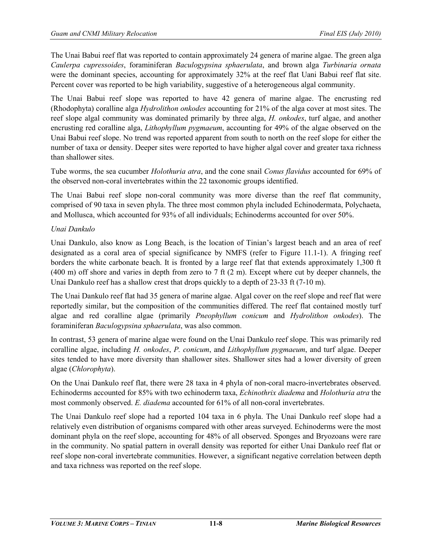The Unai Babui reef flat was reported to contain approximately 24 genera of marine algae. The green alga *Caulerpa cupressoides*, foraminiferan *Baculogypsina sphaerulata*, and brown alga *Turbinaria ornata*  were the dominant species, accounting for approximately 32% at the reef flat Uani Babui reef flat site. Percent cover was reported to be high variability, suggestive of a heterogeneous algal community.

The Unai Babui reef slope was reported to have 42 genera of marine algae. The encrusting red (Rhodophyta) coralline alga *Hydrolithon onkodes* accounting for 21% of the alga cover at most sites. The reef slope algal community was dominated primarily by three alga, *H. onkodes*, turf algae, and another encrusting red coralline alga, *Lithophyllum pygmaeum*, accounting for 49% of the algae observed on the Unai Babui reef slope. No trend was reported apparent from south to north on the reef slope for either the number of taxa or density. Deeper sites were reported to have higher algal cover and greater taxa richness than shallower sites.

Tube worms, the sea cucumber *Holothuria atra*, and the cone snail *Conus flavidus* accounted for 69% of the observed non-coral invertebrates within the 22 taxonomic groups identified.

The Unai Babui reef slope non-coral community was more diverse than the reef flat community, comprised of 90 taxa in seven phyla. The three most common phyla included Echinodermata, Polychaeta, and Mollusca, which accounted for 93% of all individuals; Echinoderms accounted for over 50%.

## *Unai Dankulo*

Unai Dankulo, also know as Long Beach, is the location of Tinian's largest beach and an area of reef designated as a coral area of special significance by NMFS (refer to Figure 11.1-1). A fringing reef borders the white carbonate beach. It is fronted by a large reef flat that extends approximately 1,300 ft (400 m) off shore and varies in depth from zero to 7 ft (2 m). Except where cut by deeper channels, the Unai Dankulo reef has a shallow crest that drops quickly to a depth of 23-33 ft (7-10 m).

The Unai Dankulo reef flat had 35 genera of marine algae. Algal cover on the reef slope and reef flat were reportedly similar, but the composition of the communities differed. The reef flat contained mostly turf algae and red coralline algae (primarily *Pneophyllum conicum* and *Hydrolithon onkodes*). The foraminiferan *Baculogypsina sphaerulata*, was also common.

In contrast, 53 genera of marine algae were found on the Unai Dankulo reef slope. This was primarily red coralline algae, including *H. onkodes*, *P. conicum*, and *Lithophyllum pygmaeum*, and turf algae. Deeper sites tended to have more diversity than shallower sites. Shallower sites had a lower diversity of green algae (*Chlorophyta*).

On the Unai Dankulo reef flat, there were 28 taxa in 4 phyla of non-coral macro-invertebrates observed. Echinoderms accounted for 85% with two echinoderm taxa, *Echinothrix diadema* and *Holothuria atra* the most commonly observed. *E. diadema* accounted for 61% of all non-coral invertebrates.

The Unai Dankulo reef slope had a reported 104 taxa in 6 phyla. The Unai Dankulo reef slope had a relatively even distribution of organisms compared with other areas surveyed. Echinoderms were the most dominant phyla on the reef slope, accounting for 48% of all observed. Sponges and Bryozoans were rare in the community. No spatial pattern in overall density was reported for either Unai Dankulo reef flat or reef slope non-coral invertebrate communities. However, a significant negative correlation between depth and taxa richness was reported on the reef slope.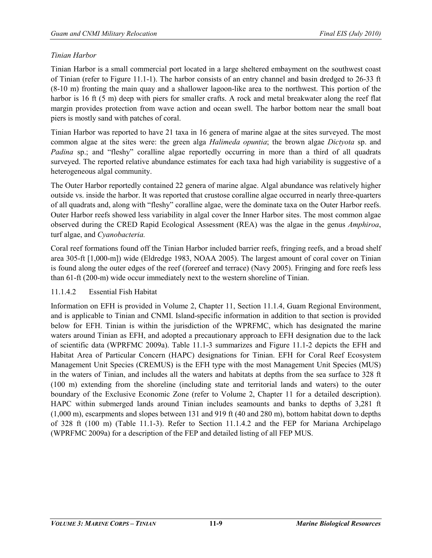## *Tinian Harbor*

Tinian Harbor is a small commercial port located in a large sheltered embayment on the southwest coast of Tinian (refer to Figure 11.1-1). The harbor consists of an entry channel and basin dredged to 26-33 ft (8-10 m) fronting the main quay and a shallower lagoon-like area to the northwest. This portion of the harbor is 16 ft (5 m) deep with piers for smaller crafts. A rock and metal breakwater along the reef flat margin provides protection from wave action and ocean swell. The harbor bottom near the small boat piers is mostly sand with patches of coral.

Tinian Harbor was reported to have 21 taxa in 16 genera of marine algae at the sites surveyed. The most common algae at the sites were: the green alga *Halimeda opuntia*; the brown algae *Dictyota* sp. and *Padina* sp.; and "fleshy" coralline algae reportedly occurring in more than a third of all quadrats surveyed. The reported relative abundance estimates for each taxa had high variability is suggestive of a heterogeneous algal community.

The Outer Harbor reportedly contained 22 genera of marine algae. Algal abundance was relatively higher outside vs. inside the harbor. It was reported that crustose coralline algae occurred in nearly three-quarters of all quadrats and, along with "fleshy" coralline algae, were the dominate taxa on the Outer Harbor reefs. Outer Harbor reefs showed less variability in algal cover the Inner Harbor sites. The most common algae observed during the CRED Rapid Ecological Assessment (REA) was the algae in the genus *Amphiroa*, turf algae, and *Cyanobacteria.*

Coral reef formations found off the Tinian Harbor included barrier reefs, fringing reefs, and a broad shelf area 305-ft [1,000-m]) wide (Eldredge 1983, NOAA 2005). The largest amount of coral cover on Tinian is found along the outer edges of the reef (forereef and terrace) (Navy 2005). Fringing and fore reefs less than 61-ft (200-m) wide occur immediately next to the western shoreline of Tinian.

#### 11.1.4.2 Essential Fish Habitat

Information on EFH is provided in Volume 2, Chapter 11, Section 11.1.4, Guam Regional Environment, and is applicable to Tinian and CNMI. Island-specific information in addition to that section is provided below for EFH. Tinian is within the jurisdiction of the WPRFMC, which has designated the marine waters around Tinian as EFH, and adopted a precautionary approach to EFH designation due to the lack of scientific data (WPRFMC 2009a). Table 11.1-3 summarizes and Figure 11.1-2 depicts the EFH and Habitat Area of Particular Concern (HAPC) designations for Tinian. EFH for Coral Reef Ecosystem Management Unit Species (CREMUS) is the EFH type with the most Management Unit Species (MUS) in the waters of Tinian, and includes all the waters and habitats at depths from the sea surface to 328 ft (100 m) extending from the shoreline (including state and territorial lands and waters) to the outer boundary of the Exclusive Economic Zone (refer to Volume 2, Chapter 11 for a detailed description). HAPC within submerged lands around Tinian includes seamounts and banks to depths of 3,281 ft (1,000 m), escarpments and slopes between 131 and 919 ft (40 and 280 m), bottom habitat down to depths of 328 ft (100 m) (Table 11.1-3). Refer to Section 11.1.4.2 and the FEP for Mariana Archipelago (WPRFMC 2009a) for a description of the FEP and detailed listing of all FEP MUS.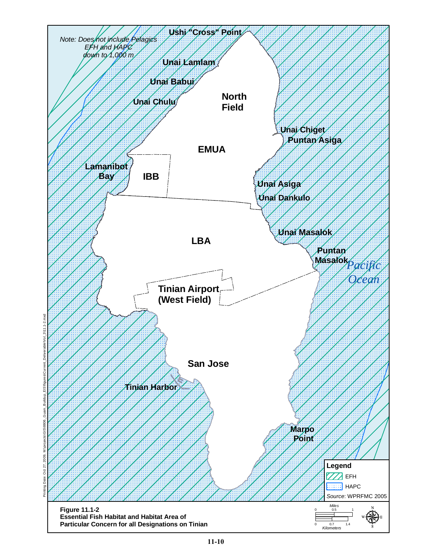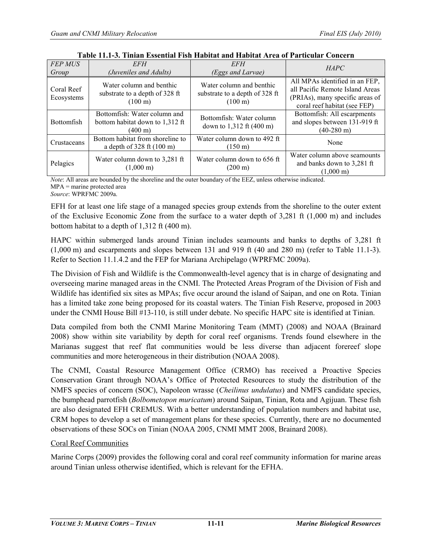| <b>FEP MUS</b><br>Group  | <b>EFH</b><br>(Juveniles and Adults)                                                 | EFH<br>(Eggs and Larvae)                                                        | <b>HAPC</b>                                                                                                                          |
|--------------------------|--------------------------------------------------------------------------------------|---------------------------------------------------------------------------------|--------------------------------------------------------------------------------------------------------------------------------------|
| Coral Reef<br>Ecosystems | Water column and benthic<br>substrate to a depth of 328 ft<br>$(100 \text{ m})$      | Water column and benthic<br>substrate to a depth of 328 ft<br>$(100 \text{ m})$ | All MPAs identified in an FEP,<br>all Pacific Remote Island Areas<br>(PRIAs), many specific areas of<br>coral reef habitat (see FEP) |
| <b>Bottomfish</b>        | Bottomfish: Water column and<br>bottom habitat down to 1,312 ft<br>$(400 \text{ m})$ | Bottomfish: Water column<br>down to 1,312 ft (400 m)                            | Bottomfish: All escarpments<br>and slopes between 131-919 ft<br>$(40-280 \text{ m})$                                                 |
| Crustaceans              | Bottom habitat from shoreline to<br>a depth of $328 \text{ ft} (100 \text{ m})$      | Water column down to 492 ft<br>$(150 \text{ m})$                                | None                                                                                                                                 |
| Pelagics                 | Water column down to 3,281 ft<br>$(1,000 \text{ m})$                                 | Water column down to 656 ft<br>$(200 \text{ m})$                                | Water column above seamounts<br>and banks down to 3,281 ft<br>$(1.000 \text{ m})$                                                    |

| Table 11.1-3. Tinian Essential Fish Habitat and Habitat Area of Particular Concern |
|------------------------------------------------------------------------------------|
|------------------------------------------------------------------------------------|

*Note*: All areas are bounded by the shoreline and the outer boundary of the EEZ, unless otherwise indicated. MPA = marine protected area

*Source*: WPRFMC 2009a.

EFH for at least one life stage of a managed species group extends from the shoreline to the outer extent of the Exclusive Economic Zone from the surface to a water depth of 3,281 ft (1,000 m) and includes bottom habitat to a depth of 1,312 ft (400 m).

HAPC within submerged lands around Tinian includes seamounts and banks to depths of 3,281 ft (1,000 m) and escarpments and slopes between 131 and 919 ft (40 and 280 m) (refer to Table 11.1-3). Refer to Section 11.1.4.2 and the FEP for Mariana Archipelago (WPRFMC 2009a).

The Division of Fish and Wildlife is the Commonwealth-level agency that is in charge of designating and overseeing marine managed areas in the CNMI. The Protected Areas Program of the Division of Fish and Wildlife has identified six sites as MPAs; five occur around the island of Saipan, and one on Rota. Tinian has a limited take zone being proposed for its coastal waters. The Tinian Fish Reserve, proposed in 2003 under the CNMI House Bill #13-110, is still under debate. No specific HAPC site is identified at Tinian.

Data compiled from both the CNMI Marine Monitoring Team (MMT) (2008) and NOAA (Brainard 2008) show within site variability by depth for coral reef organisms. Trends found elsewhere in the Marianas suggest that reef flat communities would be less diverse than adjacent forereef slope communities and more heterogeneous in their distribution (NOAA 2008).

The CNMI, Coastal Resource Management Office (CRMO) has received a Proactive Species Conservation Grant through NOAA's Office of Protected Resources to study the distribution of the NMFS species of concern (SOC), Napoleon wrasse (*Cheilinus undulatus*) and NMFS candidate species, the bumphead parrotfish (*Bolbometopon muricatum*) around Saipan, Tinian, Rota and Agijuan. These fish are also designated EFH CREMUS. With a better understanding of population numbers and habitat use, CRM hopes to develop a set of management plans for these species. Currently, there are no documented observations of these SOCs on Tinian (NOAA 2005, CNMI MMT 2008, Brainard 2008).

# Coral Reef Communities

Marine Corps (2009) provides the following coral and coral reef community information for marine areas around Tinian unless otherwise identified, which is relevant for the EFHA.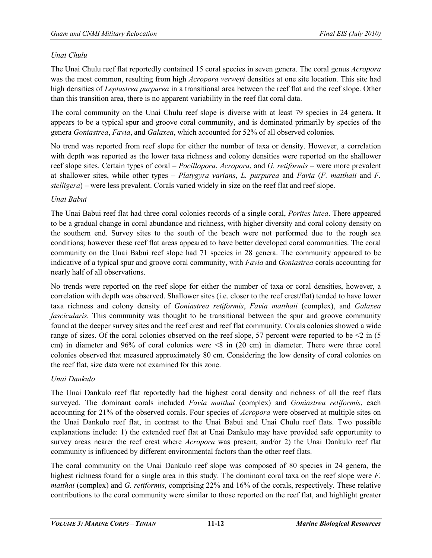#### *Unai Chulu*

The Unai Chulu reef flat reportedly contained 15 coral species in seven genera. The coral genus *Acropora*  was the most common, resulting from high *Acropora verweyi* densities at one site location. This site had high densities of *Leptastrea purpurea* in a transitional area between the reef flat and the reef slope. Other than this transition area, there is no apparent variability in the reef flat coral data.

The coral community on the Unai Chulu reef slope is diverse with at least 79 species in 24 genera. It appears to be a typical spur and groove coral community, and is dominated primarily by species of the genera *Goniastrea*, *Favia*, and *Galaxea*, which accounted for 52% of all observed colonies.

No trend was reported from reef slope for either the number of taxa or density. However, a correlation with depth was reported as the lower taxa richness and colony densities were reported on the shallower reef slope sites. Certain types of coral – *Pocillopora*, *Acropora*, and *G. retiformis* – were more prevalent at shallower sites, while other types – *Platygyra varians*, *L. purpurea* and *Favia* (*F. matthaii* and *F. stelligera*) – were less prevalent. Corals varied widely in size on the reef flat and reef slope.

#### *Unai Babui*

The Unai Babui reef flat had three coral colonies records of a single coral, *Porites lutea*. There appeared to be a gradual change in coral abundance and richness, with higher diversity and coral colony density on the southern end. Survey sites to the south of the beach were not performed due to the rough sea conditions; however these reef flat areas appeared to have better developed coral communities. The coral community on the Unai Babui reef slope had 71 species in 28 genera. The community appeared to be indicative of a typical spur and groove coral community, with *Favia* and *Goniastrea* corals accounting for nearly half of all observations.

No trends were reported on the reef slope for either the number of taxa or coral densities, however, a correlation with depth was observed. Shallower sites (i.e. closer to the reef crest/flat) tended to have lower taxa richness and colony density of *Goniastrea retiformis*, *Favia matthaii* (complex), and *Galaxea fascicularis.* This community was thought to be transitional between the spur and groove community found at the deeper survey sites and the reef crest and reef flat community. Corals colonies showed a wide range of sizes. Of the coral colonies observed on the reef slope, 57 percent were reported to be  $\leq 2$  in (5) cm) in diameter and 96% of coral colonies were <8 in (20 cm) in diameter. There were three coral colonies observed that measured approximately 80 cm. Considering the low density of coral colonies on the reef flat, size data were not examined for this zone.

#### *Unai Dankulo*

The Unai Dankulo reef flat reportedly had the highest coral density and richness of all the reef flats surveyed. The dominant corals included *Favia matthai* (complex) and *Goniastrea retiformis*, each accounting for 21% of the observed corals. Four species of *Acropora* were observed at multiple sites on the Unai Dankulo reef flat, in contrast to the Unai Babui and Unai Chulu reef flats. Two possible explanations include: 1) the extended reef flat at Unai Dankulo may have provided safe opportunity to survey areas nearer the reef crest where *Acropora* was present, and/or 2) the Unai Dankulo reef flat community is influenced by different environmental factors than the other reef flats.

The coral community on the Unai Dankulo reef slope was composed of 80 species in 24 genera, the highest richness found for a single area in this study. The dominant coral taxa on the reef slope were *F*. *matthai* (complex) and *G. retiformis*, comprising 22% and 16% of the corals, respectively. These relative contributions to the coral community were similar to those reported on the reef flat, and highlight greater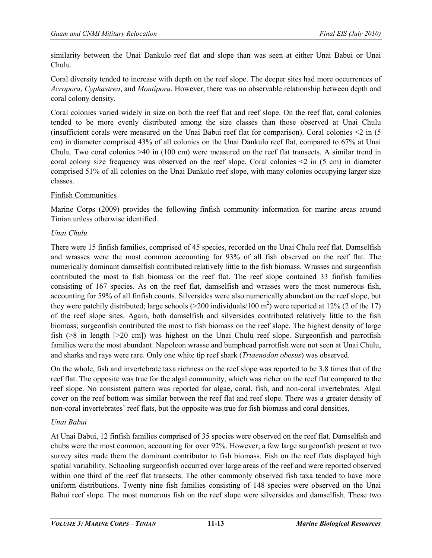similarity between the Unai Dankulo reef flat and slope than was seen at either Unai Babui or Unai Chulu.

Coral diversity tended to increase with depth on the reef slope. The deeper sites had more occurrences of *Acropora*, *Cyphastrea*, and *Montipora*. However, there was no observable relationship between depth and coral colony density.

Coral colonies varied widely in size on both the reef flat and reef slope. On the reef flat, coral colonies tended to be more evenly distributed among the size classes than those observed at Unai Chulu (insufficient corals were measured on the Unai Babui reef flat for comparison). Coral colonies  $\leq 2$  in (5) cm) in diameter comprised 43% of all colonies on the Unai Dankulo reef flat, compared to 67% at Unai Chulu. Two coral colonies >40 in (100 cm) were measured on the reef flat transects. A similar trend in coral colony size frequency was observed on the reef slope. Coral colonies  $\leq 2$  in (5 cm) in diameter comprised 51% of all colonies on the Unai Dankulo reef slope, with many colonies occupying larger size classes.

## Finfish Communities

Marine Corps (2009) provides the following finfish community information for marine areas around Tinian unless otherwise identified.

## *Unai Chulu*

There were 15 finfish families, comprised of 45 species, recorded on the Unai Chulu reef flat. Damselfish and wrasses were the most common accounting for 93% of all fish observed on the reef flat. The numerically dominant damselfish contributed relatively little to the fish biomass. Wrasses and surgeonfish contributed the most to fish biomass on the reef flat. The reef slope contained 33 finfish families consisting of 167 species. As on the reef flat, damselfish and wrasses were the most numerous fish, accounting for 59% of all finfish counts. Silversides were also numerically abundant on the reef slope, but they were patchily distributed; large schools ( $>$ 200 individuals/100 m<sup>2</sup>) were reported at 12% (2 of the 17) of the reef slope sites. Again, both damselfish and silversides contributed relatively little to the fish biomass; surgeonfish contributed the most to fish biomass on the reef slope. The highest density of large fish (>8 in length [>20 cm]) was highest on the Unai Chulu reef slope. Surgeonfish and parrotfish families were the most abundant. Napoleon wrasse and bumphead parrotfish were not seen at Unai Chulu, and sharks and rays were rare. Only one white tip reef shark (*Triaenodon obesus*) was observed.

On the whole, fish and invertebrate taxa richness on the reef slope was reported to be 3.8 times that of the reef flat. The opposite was true for the algal community, which was richer on the reef flat compared to the reef slope. No consistent pattern was reported for algae, coral, fish, and non-coral invertebrates. Algal cover on the reef bottom was similar between the reef flat and reef slope. There was a greater density of non-coral invertebrates' reef flats, but the opposite was true for fish biomass and coral densities.

# *Unai Babui*

At Unai Babui, 12 finfish families comprised of 35 species were observed on the reef flat. Damselfish and chubs were the most common, accounting for over 92%. However, a few large surgeonfish present at two survey sites made them the dominant contributor to fish biomass. Fish on the reef flats displayed high spatial variability. Schooling surgeonfish occurred over large areas of the reef and were reported observed within one third of the reef flat transects. The other commonly observed fish taxa tended to have more uniform distributions. Twenty nine fish families consisting of 148 species were observed on the Unai Babui reef slope. The most numerous fish on the reef slope were silversides and damselfish. These two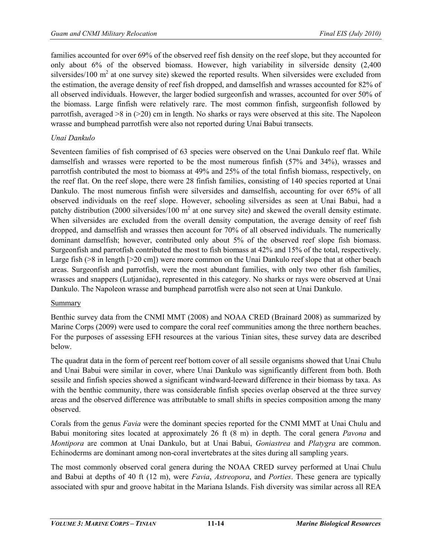families accounted for over 69% of the observed reef fish density on the reef slope, but they accounted for only about 6% of the observed biomass. However, high variability in silverside density (2,400 silversides/100  $\text{m}^2$  at one survey site) skewed the reported results. When silversides were excluded from the estimation, the average density of reef fish dropped, and damselfish and wrasses accounted for 82% of all observed individuals. However, the larger bodied surgeonfish and wrasses, accounted for over 50% of the biomass. Large finfish were relatively rare. The most common finfish, surgeonfish followed by parrotfish, averaged >8 in (>20) cm in length. No sharks or rays were observed at this site. The Napoleon wrasse and bumphead parrotfish were also not reported during Unai Babui transects.

## *Unai Dankulo*

Seventeen families of fish comprised of 63 species were observed on the Unai Dankulo reef flat. While damselfish and wrasses were reported to be the most numerous finfish (57% and 34%), wrasses and parrotfish contributed the most to biomass at 49% and 25% of the total finfish biomass, respectively, on the reef flat. On the reef slope, there were 28 finfish families, consisting of 140 species reported at Unai Dankulo. The most numerous finfish were silversides and damselfish, accounting for over 65% of all observed individuals on the reef slope. However, schooling silversides as seen at Unai Babui, had a patchy distribution (2000 silversides/100  $m<sup>2</sup>$  at one survey site) and skewed the overall density estimate. When silversides are excluded from the overall density computation, the average density of reef fish dropped, and damselfish and wrasses then account for 70% of all observed individuals. The numerically dominant damselfish; however, contributed only about 5% of the observed reef slope fish biomass. Surgeonfish and parrotfish contributed the most to fish biomass at 42% and 15% of the total, respectively. Large fish ( $>8$  in length [ $>20$  cm]) were more common on the Unai Dankulo reef slope that at other beach areas. Surgeonfish and parrotfish, were the most abundant families, with only two other fish families, wrasses and snappers (Lutjanidae), represented in this category. No sharks or rays were observed at Unai Dankulo. The Napoleon wrasse and bumphead parrotfish were also not seen at Unai Dankulo.

#### Summary

Benthic survey data from the CNMI MMT (2008) and NOAA CRED (Brainard 2008) as summarized by Marine Corps (2009) were used to compare the coral reef communities among the three northern beaches. For the purposes of assessing EFH resources at the various Tinian sites, these survey data are described below.

The quadrat data in the form of percent reef bottom cover of all sessile organisms showed that Unai Chulu and Unai Babui were similar in cover, where Unai Dankulo was significantly different from both. Both sessile and finfish species showed a significant windward-leeward difference in their biomass by taxa. As with the benthic community, there was considerable finfish species overlap observed at the three survey areas and the observed difference was attributable to small shifts in species composition among the many observed.

Corals from the genus *Favia* were the dominant species reported for the CNMI MMT at Unai Chulu and Babui monitoring sites located at approximately 26 ft (8 m) in depth. The coral genera *Pavona* and *Montipora* are common at Unai Dankulo, but at Unai Babui, *Goniastrea* and *Platygra* are common. Echinoderms are dominant among non-coral invertebrates at the sites during all sampling years.

The most commonly observed coral genera during the NOAA CRED survey performed at Unai Chulu and Babui at depths of 40 ft (12 m), were *Favia*, *Astreopora*, and *Porties*. These genera are typically associated with spur and groove habitat in the Mariana Islands. Fish diversity was similar across all REA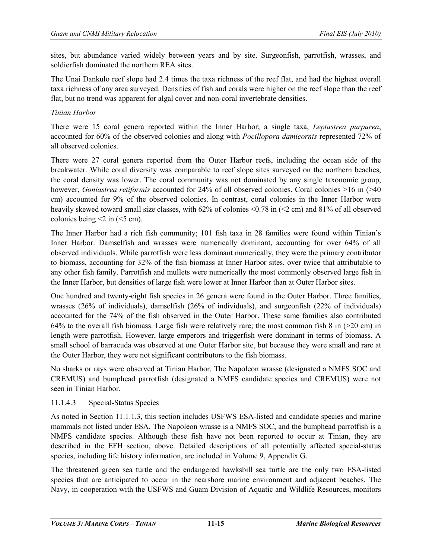sites, but abundance varied widely between years and by site. Surgeonfish, parrotfish, wrasses, and soldierfish dominated the northern REA sites.

The Unai Dankulo reef slope had 2.4 times the taxa richness of the reef flat, and had the highest overall taxa richness of any area surveyed. Densities of fish and corals were higher on the reef slope than the reef flat, but no trend was apparent for algal cover and non-coral invertebrate densities.

#### *Tinian Harbor*

There were 15 coral genera reported within the Inner Harbor; a single taxa, *Leptastrea purpurea*, accounted for 60% of the observed colonies and along with *Pocillopora damicornis* represented 72% of all observed colonies.

There were 27 coral genera reported from the Outer Harbor reefs, including the ocean side of the breakwater. While coral diversity was comparable to reef slope sites surveyed on the northern beaches, the coral density was lower. The coral community was not dominated by any single taxonomic group, however, *Goniastrea retiformis* accounted for 24% of all observed colonies. Coral colonies >16 in (>40 cm) accounted for 9% of the observed colonies. In contrast, coral colonies in the Inner Harbor were heavily skewed toward small size classes, with 62% of colonies <0.78 in (<2 cm) and 81% of all observed colonies being  $\leq$  2 in ( $\leq$ 5 cm).

The Inner Harbor had a rich fish community; 101 fish taxa in 28 families were found within Tinian's Inner Harbor. Damselfish and wrasses were numerically dominant, accounting for over 64% of all observed individuals. While parrotfish were less dominant numerically, they were the primary contributor to biomass, accounting for 32% of the fish biomass at Inner Harbor sites, over twice that attributable to any other fish family. Parrotfish and mullets were numerically the most commonly observed large fish in the Inner Harbor, but densities of large fish were lower at Inner Harbor than at Outer Harbor sites.

One hundred and twenty-eight fish species in 26 genera were found in the Outer Harbor. Three families, wrasses (26% of individuals), damselfish (26% of individuals), and surgeonfish (22% of individuals) accounted for the 74% of the fish observed in the Outer Harbor. These same families also contributed 64% to the overall fish biomass. Large fish were relatively rare; the most common fish 8 in (>20 cm) in length were parrotfish. However, large emperors and triggerfish were dominant in terms of biomass. A small school of barracuda was observed at one Outer Harbor site, but because they were small and rare at the Outer Harbor, they were not significant contributors to the fish biomass.

No sharks or rays were observed at Tinian Harbor. The Napoleon wrasse (designated a NMFS SOC and CREMUS) and bumphead parrotfish (designated a NMFS candidate species and CREMUS) were not seen in Tinian Harbor.

#### 11.1.4.3 Special-Status Species

As noted in Section 11.1.1.3, this section includes USFWS ESA-listed and candidate species and marine mammals not listed under ESA. The Napoleon wrasse is a NMFS SOC, and the bumphead parrotfish is a NMFS candidate species. Although these fish have not been reported to occur at Tinian, they are described in the EFH section, above. Detailed descriptions of all potentially affected special-status species, including life history information, are included in Volume 9, Appendix G.

The threatened green sea turtle and the endangered hawksbill sea turtle are the only two ESA-listed species that are anticipated to occur in the nearshore marine environment and adjacent beaches. The Navy, in cooperation with the USFWS and Guam Division of Aquatic and Wildlife Resources, monitors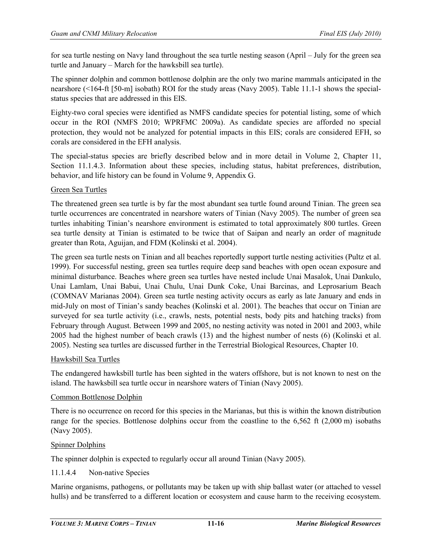for sea turtle nesting on Navy land throughout the sea turtle nesting season (April – July for the green sea turtle and January – March for the hawksbill sea turtle).

The spinner dolphin and common bottlenose dolphin are the only two marine mammals anticipated in the nearshore (<164-ft [50-m] isobath) ROI for the study areas (Navy 2005). Table 11.1-1 shows the specialstatus species that are addressed in this EIS.

Eighty-two coral species were identified as NMFS candidate species for potential listing, some of which occur in the ROI (NMFS 2010; WPRFMC 2009a). As candidate species are afforded no special protection, they would not be analyzed for potential impacts in this EIS; corals are considered EFH, so corals are considered in the EFH analysis.

The special-status species are briefly described below and in more detail in Volume 2, Chapter 11, Section 11.1.4.3. Information about these species, including status, habitat preferences, distribution, behavior, and life history can be found in Volume 9, Appendix G.

#### Green Sea Turtles

The threatened green sea turtle is by far the most abundant sea turtle found around Tinian. The green sea turtle occurrences are concentrated in nearshore waters of Tinian (Navy 2005). The number of green sea turtles inhabiting Tinian's nearshore environment is estimated to total approximately 800 turtles. Green sea turtle density at Tinian is estimated to be twice that of Saipan and nearly an order of magnitude greater than Rota, Aguijan, and FDM (Kolinski et al. 2004).

The green sea turtle nests on Tinian and all beaches reportedly support turtle nesting activities (Pultz et al. 1999). For successful nesting, green sea turtles require deep sand beaches with open ocean exposure and minimal disturbance. Beaches where green sea turtles have nested include Unai Masalok, Unai Dankulo, Unai Lamlam, Unai Babui, Unai Chulu, Unai Dunk Coke, Unai Barcinas, and Leprosarium Beach (COMNAV Marianas 2004). Green sea turtle nesting activity occurs as early as late January and ends in mid-July on most of Tinian's sandy beaches (Kolinski et al. 2001). The beaches that occur on Tinian are surveyed for sea turtle activity (i.e., crawls, nests, potential nests, body pits and hatching tracks) from February through August. Between 1999 and 2005, no nesting activity was noted in 2001 and 2003, while 2005 had the highest number of beach crawls (13) and the highest number of nests (6) (Kolinski et al. 2005). Nesting sea turtles are discussed further in the Terrestrial Biological Resources, Chapter 10.

#### Hawksbill Sea Turtles

The endangered hawksbill turtle has been sighted in the waters offshore, but is not known to nest on the island. The hawksbill sea turtle occur in nearshore waters of Tinian (Navy 2005).

#### Common Bottlenose Dolphin

There is no occurrence on record for this species in the Marianas, but this is within the known distribution range for the species. Bottlenose dolphins occur from the coastline to the  $6,562$  ft  $(2,000 \text{ m})$  isobaths (Navy 2005).

#### Spinner Dolphins

The spinner dolphin is expected to regularly occur all around Tinian (Navy 2005).

#### 11.1.4.4 Non-native Species

Marine organisms, pathogens, or pollutants may be taken up with ship ballast water (or attached to vessel hulls) and be transferred to a different location or ecosystem and cause harm to the receiving ecosystem.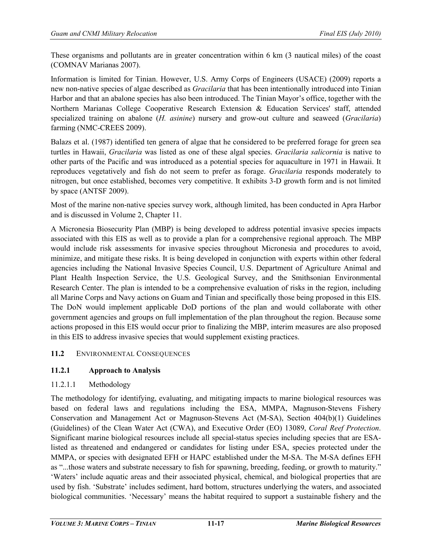These organisms and pollutants are in greater concentration within 6 km (3 nautical miles) of the coast (COMNAV Marianas 2007).

Information is limited for Tinian. However, U.S. Army Corps of Engineers (USACE) (2009) reports a new non-native species of algae described as *Gracilaria* that has been intentionally introduced into Tinian Harbor and that an abalone species has also been introduced. The Tinian Mayor's office, together with the Northern Marianas College Cooperative Research Extension & Education Services' staff, attended specialized training on abalone (*H. asinine*) nursery and grow-out culture and seaweed (*Gracilaria*) farming (NMC-CREES 2009).

Balazs et al. (1987) identified ten genera of algae that he considered to be preferred forage for green sea turtles in Hawaii, *Gracilaria* was listed as one of these algal species. *Gracilaria salicornia* is native to other parts of the Pacific and was introduced as a potential species for aquaculture in 1971 in Hawaii. It reproduces vegetatively and fish do not seem to prefer as forage. *Gracilaria* responds moderately to nitrogen, but once established, becomes very competitive. It exhibits 3-D growth form and is not limited by space (ANTSF 2009).

Most of the marine non-native species survey work, although limited, has been conducted in Apra Harbor and is discussed in Volume 2, Chapter 11.

A Micronesia Biosecurity Plan (MBP) is being developed to address potential invasive species impacts associated with this EIS as well as to provide a plan for a comprehensive regional approach. The MBP would include risk assessments for invasive species throughout Micronesia and procedures to avoid, minimize, and mitigate these risks. It is being developed in conjunction with experts within other federal agencies including the National Invasive Species Council, U.S. Department of Agriculture Animal and Plant Health Inspection Service, the U.S. Geological Survey, and the Smithsonian Environmental Research Center. The plan is intended to be a comprehensive evaluation of risks in the region, including all Marine Corps and Navy actions on Guam and Tinian and specifically those being proposed in this EIS. The DoN would implement applicable DoD portions of the plan and would collaborate with other government agencies and groups on full implementation of the plan throughout the region. Because some actions proposed in this EIS would occur prior to finalizing the MBP, interim measures are also proposed in this EIS to address invasive species that would supplement existing practices.

# **11.2** ENVIRONMENTAL CONSEQUENCES

# **11.2.1 Approach to Analysis**

# 11.2.1.1 Methodology

The methodology for identifying, evaluating, and mitigating impacts to marine biological resources was based on federal laws and regulations including the ESA, MMPA, Magnuson-Stevens Fishery Conservation and Management Act or Magnuson-Stevens Act (M-SA), Section 404(b)(1) Guidelines (Guidelines) of the Clean Water Act (CWA), and Executive Order (EO) 13089, *Coral Reef Protection*. Significant marine biological resources include all special-status species including species that are ESAlisted as threatened and endangered or candidates for listing under ESA, species protected under the MMPA, or species with designated EFH or HAPC established under the M-SA. The M-SA defines EFH as "...those waters and substrate necessary to fish for spawning, breeding, feeding, or growth to maturity." 'Waters' include aquatic areas and their associated physical, chemical, and biological properties that are used by fish. 'Substrate' includes sediment, hard bottom, structures underlying the waters, and associated biological communities. 'Necessary' means the habitat required to support a sustainable fishery and the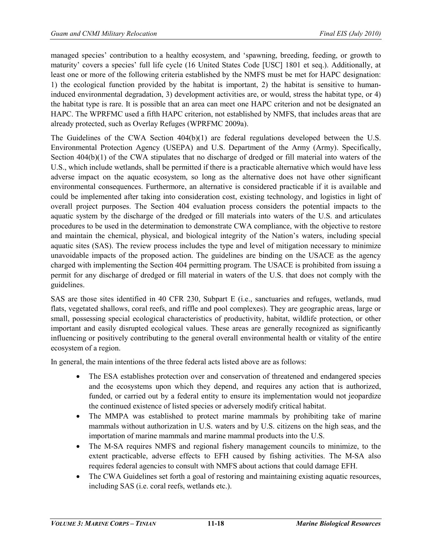managed species' contribution to a healthy ecosystem, and 'spawning, breeding, feeding, or growth to maturity' covers a species' full life cycle (16 United States Code [USC] 1801 et seq.). Additionally, at least one or more of the following criteria established by the NMFS must be met for HAPC designation: 1) the ecological function provided by the habitat is important, 2) the habitat is sensitive to humaninduced environmental degradation, 3) development activities are, or would, stress the habitat type, or 4) the habitat type is rare. It is possible that an area can meet one HAPC criterion and not be designated an HAPC. The WPRFMC used a fifth HAPC criterion, not established by NMFS, that includes areas that are already protected, such as Overlay Refuges (WPRFMC 2009a).

The Guidelines of the CWA Section  $404(b)(1)$  are federal regulations developed between the U.S. Environmental Protection Agency (USEPA) and U.S. Department of the Army (Army). Specifically, Section 404(b)(1) of the CWA stipulates that no discharge of dredged or fill material into waters of the U.S., which include wetlands, shall be permitted if there is a practicable alternative which would have less adverse impact on the aquatic ecosystem, so long as the alternative does not have other significant environmental consequences. Furthermore, an alternative is considered practicable if it is available and could be implemented after taking into consideration cost, existing technology, and logistics in light of overall project purposes. The Section 404 evaluation process considers the potential impacts to the aquatic system by the discharge of the dredged or fill materials into waters of the U.S. and articulates procedures to be used in the determination to demonstrate CWA compliance, with the objective to restore and maintain the chemical, physical, and biological integrity of the Nation's waters, including special aquatic sites (SAS). The review process includes the type and level of mitigation necessary to minimize unavoidable impacts of the proposed action. The guidelines are binding on the USACE as the agency charged with implementing the Section 404 permitting program. The USACE is prohibited from issuing a permit for any discharge of dredged or fill material in waters of the U.S. that does not comply with the guidelines.

SAS are those sites identified in 40 CFR 230, Subpart E (i.e., sanctuaries and refuges, wetlands, mud flats, vegetated shallows, coral reefs, and riffle and pool complexes). They are geographic areas, large or small, possessing special ecological characteristics of productivity, habitat, wildlife protection, or other important and easily disrupted ecological values. These areas are generally recognized as significantly influencing or positively contributing to the general overall environmental health or vitality of the entire ecosystem of a region.

In general, the main intentions of the three federal acts listed above are as follows:

- The ESA establishes protection over and conservation of threatened and endangered species and the ecosystems upon which they depend, and requires any action that is authorized, funded, or carried out by a federal entity to ensure its implementation would not jeopardize the continued existence of listed species or adversely modify critical habitat.
- The [MMPA](http://www.nmfs.noaa.gov/pr/laws/mmpa/) was established to protect marine mammals by prohibiting take of marine mammals without authorization in U.S. waters and by U.S. citizens on the high seas, and the importation of marine mammals and marine mammal products into the U.S.
- The M-SA requires NMFS and regional fishery management councils to minimize, to the extent practicable, adverse effects to EFH caused by fishing activities. The M-SA also requires federal agencies to consult with NMFS about actions that could damage EFH.
- The CWA Guidelines set forth a goal of restoring and maintaining existing aquatic resources, including SAS (i.e. coral reefs, wetlands etc.).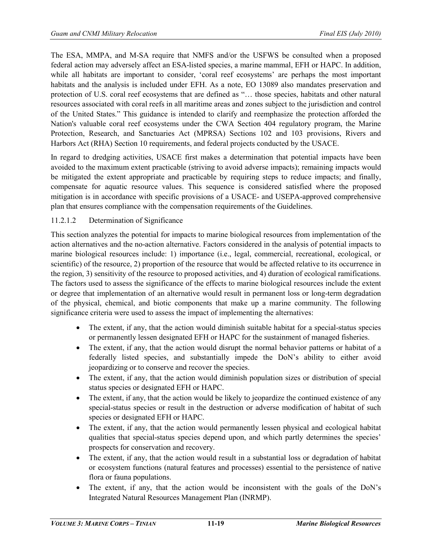The ESA, MMPA, and M-SA require that NMFS and/or the USFWS be consulted when a proposed federal action may adversely affect an ESA-listed species, a marine mammal, EFH or HAPC. In addition, while all habitats are important to consider, 'coral reef ecosystems' are perhaps the most important habitats and the analysis is included under EFH. As a note, EO 13089 also mandates preservation and protection of U.S. coral reef ecosystems that are defined as "… those species, habitats and other natural resources associated with coral reefs in all maritime areas and zones subject to the jurisdiction and control of the United States." This guidance is intended to clarify and reemphasize the protection afforded the Nation's valuable coral reef ecosystems under the CWA Section 404 regulatory program, the Marine Protection, Research, and Sanctuaries Act (MPRSA) Sections 102 and 103 provisions, Rivers and Harbors Act (RHA) Section 10 requirements, and federal projects conducted by the USACE.

In regard to dredging activities, USACE first makes a determination that potential impacts have been avoided to the maximum extent practicable (striving to avoid adverse impacts); remaining impacts would be mitigated the extent appropriate and practicable by requiring steps to reduce impacts; and finally, compensate for aquatic resource values. This sequence is considered satisfied where the proposed mitigation is in accordance with specific provisions of a USACE- and USEPA-approved comprehensive plan that ensures compliance with the compensation requirements of the Guidelines.

## 11.2.1.2 Determination of Significance

This section analyzes the potential for impacts to marine biological resources from implementation of the action alternatives and the no-action alternative. Factors considered in the analysis of potential impacts to marine biological resources include: 1) importance (i.e., legal, commercial, recreational, ecological, or scientific) of the resource, 2) proportion of the resource that would be affected relative to its occurrence in the region, 3) sensitivity of the resource to proposed activities, and 4) duration of ecological ramifications. The factors used to assess the significance of the effects to marine biological resources include the extent or degree that implementation of an alternative would result in permanent loss or long-term degradation of the physical, chemical, and biotic components that make up a marine community. The following significance criteria were used to assess the impact of implementing the alternatives:

- The extent, if any, that the action would diminish suitable habitat for a special-status species or permanently lessen designated EFH or HAPC for the sustainment of managed fisheries.
- The extent, if any, that the action would disrupt the normal behavior patterns or habitat of a federally listed species, and substantially impede the DoN's ability to either avoid jeopardizing or to conserve and recover the species.
- The extent, if any, that the action would diminish population sizes or distribution of special status species or designated EFH or HAPC.
- The extent, if any, that the action would be likely to jeopardize the continued existence of any special-status species or result in the destruction or adverse modification of habitat of such species or designated EFH or HAPC.
- The extent, if any, that the action would permanently lessen physical and ecological habitat qualities that special-status species depend upon, and which partly determines the species' prospects for conservation and recovery.
- The extent, if any, that the action would result in a substantial loss or degradation of habitat or ecosystem functions (natural features and processes) essential to the persistence of native flora or fauna populations.
- The extent, if any, that the action would be inconsistent with the goals of the DoN's Integrated Natural Resources Management Plan (INRMP).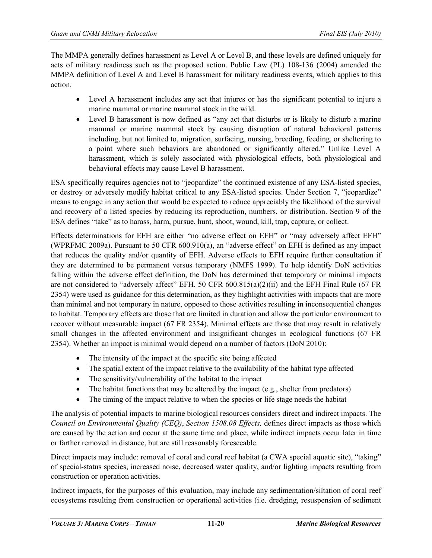The MMPA generally defines harassment as Level A or Level B, and these levels are defined uniquely for acts of military readiness such as the proposed action. Public Law (PL) 108-136 (2004) amended the MMPA definition of Level A and Level B harassment for military readiness events, which applies to this action.

- Level A harassment includes any act that injures or has the significant potential to injure a marine mammal or marine mammal stock in the wild.
- Level B harassment is now defined as "any act that disturbs or is likely to disturb a marine mammal or marine mammal stock by causing disruption of natural behavioral patterns including, but not limited to, migration, surfacing, nursing, breeding, feeding, or sheltering to a point where such behaviors are abandoned or significantly altered." Unlike Level A harassment, which is solely associated with physiological effects, both physiological and behavioral effects may cause Level B harassment.

ESA specifically requires agencies not to "jeopardize" the continued existence of any ESA-listed species, or destroy or adversely modify habitat critical to any ESA-listed species. Under Section 7, "jeopardize" means to engage in any action that would be expected to reduce appreciably the likelihood of the survival and recovery of a listed species by reducing its reproduction, numbers, or distribution. Section 9 of the ESA defines "take" as to harass, harm, pursue, hunt, shoot, wound, kill, trap, capture, or collect.

Effects determinations for EFH are either "no adverse effect on EFH" or "may adversely affect EFH" (WPRFMC 2009a). Pursuant to 50 CFR 600.910(a), an "adverse effect" on EFH is defined as any impact that reduces the quality and/or quantity of EFH. Adverse effects to EFH require further consultation if they are determined to be permanent versus temporary (NMFS 1999). To help identify DoN activities falling within the adverse effect definition, the DoN has determined that temporary or minimal impacts are not considered to "adversely affect" EFH. 50 CFR 600.815(a)(2)(ii) and the EFH Final Rule (67 FR 2354) were used as guidance for this determination, as they highlight activities with impacts that are more than minimal and not temporary in nature, opposed to those activities resulting in inconsequential changes to habitat. Temporary effects are those that are limited in duration and allow the particular environment to recover without measurable impact (67 FR 2354). Minimal effects are those that may result in relatively small changes in the affected environment and insignificant changes in ecological functions (67 FR 2354). Whether an impact is minimal would depend on a number of factors (DoN 2010):

- The intensity of the impact at the specific site being affected
- The spatial extent of the impact relative to the availability of the habitat type affected
- The sensitivity/vulnerability of the habitat to the impact
- The habitat functions that may be altered by the impact  $(e.g.,\,)$  shelter from predators)
- The timing of the impact relative to when the species or life stage needs the habitat

The analysis of potential impacts to marine biological resources considers direct and indirect impacts. The *Council on Environmental Quality (CEQ)*, *Section 1508.08 Effects,* defines direct impacts as those which are caused by the action and occur at the same time and place, while indirect impacts occur later in time or farther removed in distance, but are still reasonably foreseeable.

Direct impacts may include: removal of coral and coral reef habitat (a CWA special aquatic site), "taking" of special-status species, increased noise, decreased water quality, and/or lighting impacts resulting from construction or operation activities.

Indirect impacts, for the purposes of this evaluation, may include any sedimentation/siltation of coral reef ecosystems resulting from construction or operational activities (i.e. dredging, resuspension of sediment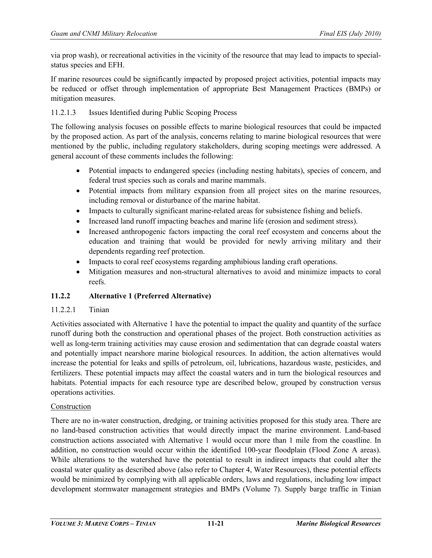via prop wash), or recreational activities in the vicinity of the resource that may lead to impacts to specialstatus species and EFH.

If marine resources could be significantly impacted by proposed project activities, potential impacts may be reduced or offset through implementation of appropriate Best Management Practices (BMPs) or mitigation measures.

## 11.2.1.3 Issues Identified during Public Scoping Process

The following analysis focuses on possible effects to marine biological resources that could be impacted by the proposed action. As part of the analysis, concerns relating to marine biological resources that were mentioned by the public, including regulatory stakeholders, during scoping meetings were addressed. A general account of these comments includes the following:

- Potential impacts to endangered species (including nesting habitats), species of concern, and federal trust species such as corals and marine mammals.
- Potential impacts from military expansion from all project sites on the marine resources, including removal or disturbance of the marine habitat.
- Impacts to culturally significant marine-related areas for subsistence fishing and beliefs.
- Increased land runoff impacting beaches and marine life (erosion and sediment stress).
- Increased anthropogenic factors impacting the coral reef ecosystem and concerns about the education and training that would be provided for newly arriving military and their dependents regarding reef protection.
- Impacts to coral reef ecosystems regarding amphibious landing craft operations.
- Mitigation measures and non-structural alternatives to avoid and minimize impacts to coral reefs.

# **11.2.2 Alternative 1 (Preferred Alternative)**

#### 11.2.2.1 Tinian

Activities associated with Alternative 1 have the potential to impact the quality and quantity of the surface runoff during both the construction and operational phases of the project. Both construction activities as well as long-term training activities may cause erosion and sedimentation that can degrade coastal waters and potentially impact nearshore marine biological resources. In addition, the action alternatives would increase the potential for leaks and spills of petroleum, oil, lubrications, hazardous waste, pesticides, and fertilizers. These potential impacts may affect the coastal waters and in turn the biological resources and habitats. Potential impacts for each resource type are described below, grouped by construction versus operations activities.

#### Construction

There are no in-water construction, dredging, or training activities proposed for this study area. There are no land-based construction activities that would directly impact the marine environment. Land-based construction actions associated with Alternative 1 would occur more than 1 mile from the coastline. In addition, no construction would occur within the identified 100-year floodplain (Flood Zone A areas). While alterations to the watershed have the potential to result in indirect impacts that could alter the coastal water quality as described above (also refer to Chapter 4, Water Resources), these potential effects would be minimized by complying with all applicable orders, laws and regulations, including low impact development stormwater management strategies and BMPs (Volume 7). Supply barge traffic in Tinian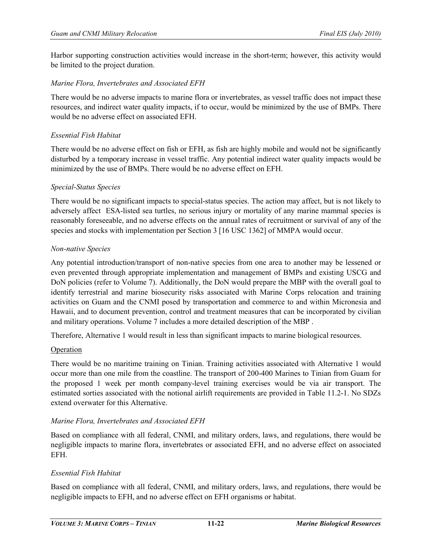Harbor supporting construction activities would increase in the short-term; however, this activity would be limited to the project duration.

#### *Marine Flora, Invertebrates and Associated EFH*

There would be no adverse impacts to marine flora or invertebrates, as vessel traffic does not impact these resources, and indirect water quality impacts, if to occur, would be minimized by the use of BMPs. There would be no adverse effect on associated EFH.

#### *Essential Fish Habitat*

There would be no adverse effect on fish or EFH, as fish are highly mobile and would not be significantly disturbed by a temporary increase in vessel traffic. Any potential indirect water quality impacts would be minimized by the use of BMPs. There would be no adverse effect on EFH.

#### *Special-Status Species*

There would be no significant impacts to special-status species. The action may affect, but is not likely to adversely affect ESA-listed sea turtles, no serious injury or mortality of any marine mammal species is reasonably foreseeable, and no adverse effects on the annual rates of recruitment or survival of any of the species and stocks with implementation per Section 3 [16 USC 1362] of MMPA would occur.

#### *Non-native Species*

Any potential introduction/transport of non-native species from one area to another may be lessened or even prevented through appropriate implementation and management of BMPs and existing USCG and DoN policies (refer to Volume 7). Additionally, the DoN would prepare the MBP with the overall goal to identify terrestrial and marine biosecurity risks associated with Marine Corps relocation and training activities on Guam and the CNMI posed by transportation and commerce to and within Micronesia and Hawaii, and to document prevention, control and treatment measures that can be incorporated by civilian and military operations. Volume 7 includes a more detailed description of the MBP .

Therefore, Alternative 1 would result in less than significant impacts to marine biological resources.

#### Operation

There would be no maritime training on Tinian. Training activities associated with Alternative 1 would occur more than one mile from the coastline. The transport of 200-400 Marines to Tinian from Guam for the proposed 1 week per month company-level training exercises would be via air transport. The estimated sorties associated with the notional airlift requirements are provided in Table 11.2-1. No SDZs extend overwater for this Alternative.

#### *Marine Flora, Invertebrates and Associated EFH*

Based on compliance with all federal, CNMI, and military orders, laws, and regulations, there would be negligible impacts to marine flora, invertebrates or associated EFH, and no adverse effect on associated EFH.

## *Essential Fish Habitat*

Based on compliance with all federal, CNMI, and military orders, laws, and regulations, there would be negligible impacts to EFH, and no adverse effect on EFH organisms or habitat.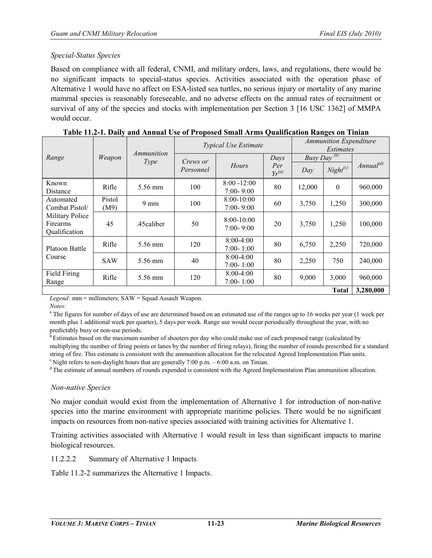## *Special-Status Species*

Based on compliance with all federal, CNMI, and military orders, laws, and regulations, there would be no significant impacts to special-status species. Activities associated with the operation phase of Alternative 1 would have no affect on ESA-listed sea turtles, no serious injury or mortality of any marine mammal species is reasonably foreseeable, and no adverse effects on the annual rates of recruitment or survival of any of the species and stocks with implementation per Section 3 [16 USC 1362] of MMPA would occur.

|                                                                |            | Ammunition     | <b>Typical Use Estimate</b> |                               | <b>Ammunition Expenditure</b><br>Estimates |                              |                  |                |
|----------------------------------------------------------------|------------|----------------|-----------------------------|-------------------------------|--------------------------------------------|------------------------------|------------------|----------------|
| Range                                                          | Weapon     | <i>Type</i>    | <i>Crews or</i>             |                               | Days                                       | Busy $D\overline{a v^{(b)}}$ |                  |                |
|                                                                |            |                | Personnel                   | Hours                         | Per<br>$Yr^{(a)}$                          | Dav                          | $Night^{(c)}$    | $Annual^{(d)}$ |
| Known                                                          | Rifle      | 5.56 mm        | 100                         | $8:00 - 12:00$                | 80                                         | 12,000                       | $\boldsymbol{0}$ | 960,000        |
| Distance                                                       |            |                |                             | $7:00 - 9:00$                 |                                            |                              |                  |                |
| Automated                                                      | Pistol     | $9 \text{ mm}$ | 100                         | $8:00-10:00$                  | 60                                         | 3,750                        | 1,250            | 300,000        |
| Combat Pistol/<br>Military Police<br>Firearms<br>Qualification | (M9)       |                |                             | $7:00 - 9:00$                 |                                            |                              |                  |                |
|                                                                | 45         | .45caliber     | 50                          | $8:00-10:00$<br>$7:00 - 9:00$ | 20                                         | 3,750                        | 1,250            | 100,000        |
| Platoon Battle                                                 | Rifle      | 5.56 mm        | 120                         | $8:00-4:00$<br>$7:00 - 1:00$  | 80                                         | 6,750                        | 2,250            | 720,000        |
| Course                                                         | <b>SAW</b> | 5.56 mm        | 40                          | $8:00-4:00$<br>$7:00 - 1:00$  | 80                                         | 2,250                        | 750              | 240,000        |
| Field Firing<br>Range                                          | Rifle      | 5.56 mm        | 120                         | $8:00-4:00$<br>$7:00 - 1:00$  | 80                                         | 9,000                        | 3,000            | 960,000        |
|                                                                |            |                |                             |                               |                                            |                              | <b>Total</b>     | 3,280,000      |

|  |  | Table 11.2-1. Daily and Annual Use of Proposed Small Arms Qualification Ranges on Tinian |  |
|--|--|------------------------------------------------------------------------------------------|--|
|--|--|------------------------------------------------------------------------------------------|--|

*Legend:* mm = millimeters; SAW = Squad Assault Weapon.

*Notes:*

<sup>a</sup> The figures for number of days of use are determined based on an estimated use of the ranges up to 16 weeks per year (1 week per month plus 1 additional week per quarter), 5 days per week. Range use would occur periodically throughout the year, with no predictably busy or non-use periods.

 $\overline{b}$  Estimates based on the maximum number of shooters per day who could make use of each proposed range (calculated by multiplying the number of firing points or lanes by the number of firing relays), firing the number of rounds prescribed for a standard string of fire. This estimate is consistent with the ammunition allocation for the relocated Agreed Implementation Plan units.  $c$  Night refers to non-daylight hours that are generally 7:00 p.m. – 6:00 a.m. on Tinian.

d The estimate of annual numbers of rounds expended is consistent with the Agreed Implementation Plan ammunition allocation.

# *Non-native Species*

No major conduit would exist from the implementation of Alternative 1 for introduction of non-native species into the marine environment with appropriate maritime policies. There would be no significant impacts on resources from non-native species associated with training activities for Alternative 1.

Training activities associated with Alternative 1 would result in less than significant impacts to marine biological resources.

11.2.2.2 Summary of Alternative 1 Impacts

Table 11.2-2 summarizes the Alternative 1 Impacts.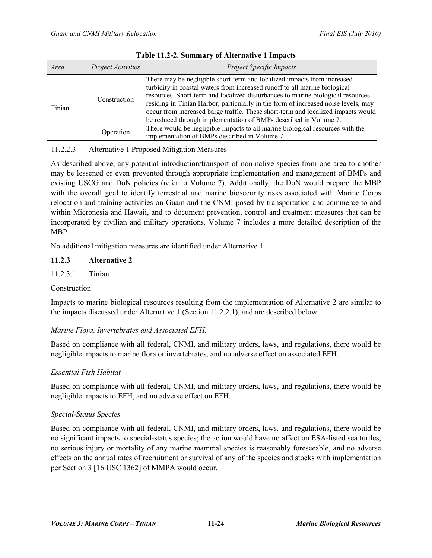| Project Activities<br>Area |              | <b>Project Specific Impacts</b>                                                                                                                                                                                                                                                                                                                                                                                                                                                        |
|----------------------------|--------------|----------------------------------------------------------------------------------------------------------------------------------------------------------------------------------------------------------------------------------------------------------------------------------------------------------------------------------------------------------------------------------------------------------------------------------------------------------------------------------------|
| Tinian                     | Construction | There may be negligible short-term and localized impacts from increased<br>turbidity in coastal waters from increased runoff to all marine biological<br>resources. Short-term and localized disturbances to marine biological resources<br>residing in Tinian Harbor, particularly in the form of increased noise levels, may<br>occur from increased barge traffic. These short-term and localized impacts would<br>be reduced through implementation of BMPs described in Volume 7. |
|                            | Operation    | There would be negligible impacts to all marine biological resources with the<br>implementation of BMPs described in Volume 7                                                                                                                                                                                                                                                                                                                                                          |

#### **Table 11.2-2. Summary of Alternative 1 Impacts**

# 11.2.2.3 Alternative 1 Proposed Mitigation Measures

As described above, any potential introduction/transport of non-native species from one area to another may be lessened or even prevented through appropriate implementation and management of BMPs and existing USCG and DoN policies (refer to Volume 7). Additionally, the DoN would prepare the MBP with the overall goal to identify terrestrial and marine biosecurity risks associated with Marine Corps relocation and training activities on Guam and the CNMI posed by transportation and commerce to and within Micronesia and Hawaii, and to document prevention, control and treatment measures that can be incorporated by civilian and military operations. Volume 7 includes a more detailed description of the MBP.

No additional mitigation measures are identified under Alternative 1.

## **11.2.3 Alternative 2**

## 11.2.3.1 Tinian

#### Construction

Impacts to marine biological resources resulting from the implementation of Alternative 2 are similar to the impacts discussed under Alternative 1 (Section 11.2.2.1), and are described below.

#### *Marine Flora, Invertebrates and Associated EFH.*

Based on compliance with all federal, CNMI, and military orders, laws, and regulations, there would be negligible impacts to marine flora or invertebrates, and no adverse effect on associated EFH.

#### *Essential Fish Habitat*

Based on compliance with all federal, CNMI, and military orders, laws, and regulations, there would be negligible impacts to EFH, and no adverse effect on EFH.

#### *Special-Status Species*

Based on compliance with all federal, CNMI, and military orders, laws, and regulations, there would be no significant impacts to special-status species; the action would have no affect on ESA-listed sea turtles, no serious injury or mortality of any marine mammal species is reasonably foreseeable, and no adverse effects on the annual rates of recruitment or survival of any of the species and stocks with implementation per Section 3 [16 USC 1362] of MMPA would occur.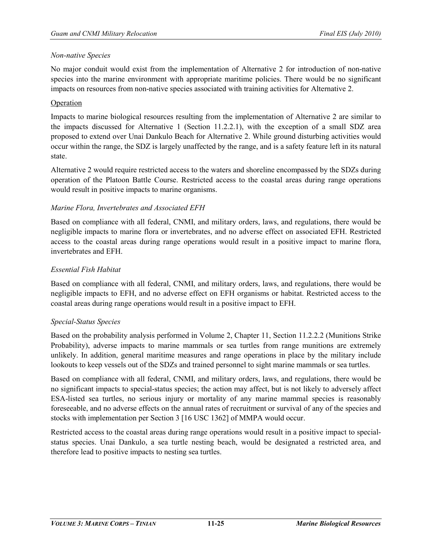#### *Non-native Species*

No major conduit would exist from the implementation of Alternative 2 for introduction of non-native species into the marine environment with appropriate maritime policies. There would be no significant impacts on resources from non-native species associated with training activities for Alternative 2.

## Operation

Impacts to marine biological resources resulting from the implementation of Alternative 2 are similar to the impacts discussed for Alternative 1 (Section 11.2.2.1), with the exception of a small SDZ area proposed to extend over Unai Dankulo Beach for Alternative 2. While ground disturbing activities would occur within the range, the SDZ is largely unaffected by the range, and is a safety feature left in its natural state.

Alternative 2 would require restricted access to the waters and shoreline encompassed by the SDZs during operation of the Platoon Battle Course. Restricted access to the coastal areas during range operations would result in positive impacts to marine organisms.

## *Marine Flora, Invertebrates and Associated EFH*

Based on compliance with all federal, CNMI, and military orders, laws, and regulations, there would be negligible impacts to marine flora or invertebrates, and no adverse effect on associated EFH. Restricted access to the coastal areas during range operations would result in a positive impact to marine flora, invertebrates and EFH.

## *Essential Fish Habitat*

Based on compliance with all federal, CNMI, and military orders, laws, and regulations, there would be negligible impacts to EFH, and no adverse effect on EFH organisms or habitat. Restricted access to the coastal areas during range operations would result in a positive impact to EFH.

#### *Special-Status Species*

Based on the probability analysis performed in Volume 2, Chapter 11, Section 11.2.2.2 (Munitions Strike Probability), adverse impacts to marine mammals or sea turtles from range munitions are extremely unlikely. In addition, general maritime measures and range operations in place by the military include lookouts to keep vessels out of the SDZs and trained personnel to sight marine mammals or sea turtles.

Based on compliance with all federal, CNMI, and military orders, laws, and regulations, there would be no significant impacts to special-status species; the action may affect, but is not likely to adversely affect ESA-listed sea turtles, no serious injury or mortality of any marine mammal species is reasonably foreseeable, and no adverse effects on the annual rates of recruitment or survival of any of the species and stocks with implementation per Section 3 [16 USC 1362] of MMPA would occur.

Restricted access to the coastal areas during range operations would result in a positive impact to specialstatus species. Unai Dankulo, a sea turtle nesting beach, would be designated a restricted area, and therefore lead to positive impacts to nesting sea turtles.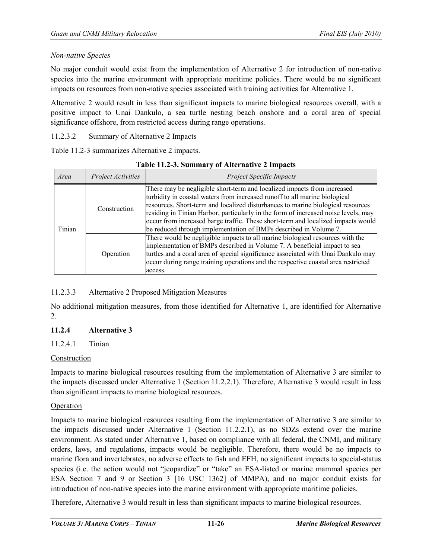#### *Non-native Species*

No major conduit would exist from the implementation of Alternative 2 for introduction of non-native species into the marine environment with appropriate maritime policies. There would be no significant impacts on resources from non-native species associated with training activities for Alternative 1.

Alternative 2 would result in less than significant impacts to marine biological resources overall, with a positive impact to Unai Dankulo, a sea turtle nesting beach onshore and a coral area of special significance offshore, from restricted access during range operations.

11.2.3.2 Summary of Alternative 2 Impacts

Table 11.2-3 summarizes Alternative 2 impacts.

| Area   | Project Activities | <b>Project Specific Impacts</b>                                                                                                                                                                                                                                                                                                                                                                                                                                                        |
|--------|--------------------|----------------------------------------------------------------------------------------------------------------------------------------------------------------------------------------------------------------------------------------------------------------------------------------------------------------------------------------------------------------------------------------------------------------------------------------------------------------------------------------|
| Tinian | Construction       | There may be negligible short-term and localized impacts from increased<br>turbidity in coastal waters from increased runoff to all marine biological<br>resources. Short-term and localized disturbances to marine biological resources<br>residing in Tinian Harbor, particularly in the form of increased noise levels, may<br>occur from increased barge traffic. These short-term and localized impacts would<br>be reduced through implementation of BMPs described in Volume 7. |
|        | Operation          | There would be negligible impacts to all marine biological resources with the<br>implementation of BMPs described in Volume 7. A beneficial impact to sea<br>turtles and a coral area of special significance associated with Unai Dankulo may<br>occur during range training operations and the respective coastal area restricted<br>access.                                                                                                                                         |

#### **Table 11.2-3. Summary of Alternative 2 Impacts**

# 11.2.3.3 Alternative 2 Proposed Mitigation Measures

No additional mitigation measures, from those identified for Alternative 1, are identified for Alternative 2.

# **11.2.4 Alternative 3**

# 11.2.4.1 Tinian

#### Construction

Impacts to marine biological resources resulting from the implementation of Alternative 3 are similar to the impacts discussed under Alternative 1 (Section 11.2.2.1). Therefore, Alternative 3 would result in less than significant impacts to marine biological resources.

#### Operation

Impacts to marine biological resources resulting from the implementation of Alternative 3 are similar to the impacts discussed under Alternative 1 (Section 11.2.2.1), as no SDZs extend over the marine environment. As stated under Alternative 1, based on compliance with all federal, the CNMI, and military orders, laws, and regulations, impacts would be negligible. Therefore, there would be no impacts to marine flora and invertebrates, no adverse effects to fish and EFH, no significant impacts to special-status species (i.e. the action would not "jeopardize" or "take" an ESA-listed or marine mammal species per ESA Section 7 and 9 or Section 3 [16 USC 1362] of MMPA), and no major conduit exists for introduction of non-native species into the marine environment with appropriate maritime policies.

Therefore, Alternative 3 would result in less than significant impacts to marine biological resources.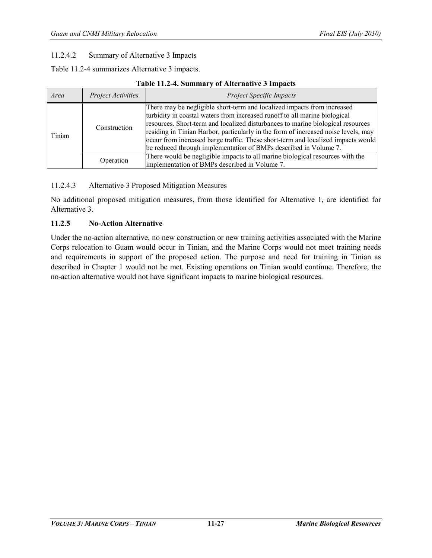## 11.2.4.2 Summary of Alternative 3 Impacts

Table 11.2-4 summarizes Alternative 3 impacts.

#### **Table 11.2-4. Summary of Alternative 3 Impacts**

| Area   | Project Activities | <b>Project Specific Impacts</b>                                                                                                                                                                                                                                                                                                                                                                                                                                                        |
|--------|--------------------|----------------------------------------------------------------------------------------------------------------------------------------------------------------------------------------------------------------------------------------------------------------------------------------------------------------------------------------------------------------------------------------------------------------------------------------------------------------------------------------|
| Tinian | Construction       | There may be negligible short-term and localized impacts from increased<br>turbidity in coastal waters from increased runoff to all marine biological<br>resources. Short-term and localized disturbances to marine biological resources<br>residing in Tinian Harbor, particularly in the form of increased noise levels, may<br>occur from increased barge traffic. These short-term and localized impacts would<br>be reduced through implementation of BMPs described in Volume 7. |
|        | Operation          | There would be negligible impacts to all marine biological resources with the<br>implementation of BMPs described in Volume 7.                                                                                                                                                                                                                                                                                                                                                         |

#### 11.2.4.3 Alternative 3 Proposed Mitigation Measures

No additional proposed mitigation measures, from those identified for Alternative 1, are identified for Alternative 3.

#### **11.2.5 No-Action Alternative**

Under the no-action alternative, no new construction or new training activities associated with the Marine Corps relocation to Guam would occur in Tinian, and the Marine Corps would not meet training needs and requirements in support of the proposed action. The purpose and need for training in Tinian as described in Chapter 1 would not be met. Existing operations on Tinian would continue. Therefore, the no-action alternative would not have significant impacts to marine biological resources.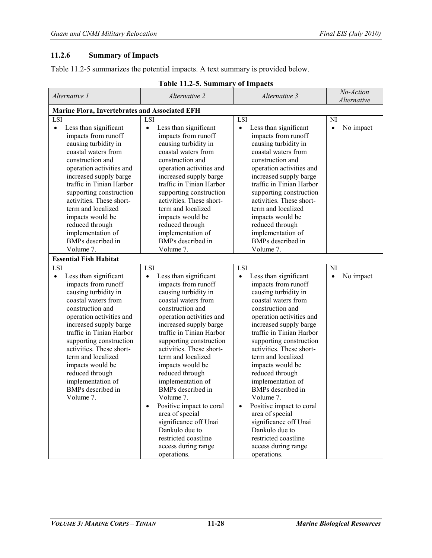# **11.2.6 Summary of Impacts**

Table 11.2-5 summarizes the potential impacts. A text summary is provided below.

| Alternative 1                                                                                                                                                                                                                                                                                                                                                                                    | Alternative 2                                                                                                                                                                                                                                                                                                                                                                                                                                                                                                                                            | Alternative 3                                                                                                                                                                                                                                                                                                                                                                                                                                                                                                                                                         | No-Action<br>Alternative     |
|--------------------------------------------------------------------------------------------------------------------------------------------------------------------------------------------------------------------------------------------------------------------------------------------------------------------------------------------------------------------------------------------------|----------------------------------------------------------------------------------------------------------------------------------------------------------------------------------------------------------------------------------------------------------------------------------------------------------------------------------------------------------------------------------------------------------------------------------------------------------------------------------------------------------------------------------------------------------|-----------------------------------------------------------------------------------------------------------------------------------------------------------------------------------------------------------------------------------------------------------------------------------------------------------------------------------------------------------------------------------------------------------------------------------------------------------------------------------------------------------------------------------------------------------------------|------------------------------|
| Marine Flora, Invertebrates and Associated EFH                                                                                                                                                                                                                                                                                                                                                   |                                                                                                                                                                                                                                                                                                                                                                                                                                                                                                                                                          |                                                                                                                                                                                                                                                                                                                                                                                                                                                                                                                                                                       |                              |
| LSI                                                                                                                                                                                                                                                                                                                                                                                              | LSI                                                                                                                                                                                                                                                                                                                                                                                                                                                                                                                                                      | LSI                                                                                                                                                                                                                                                                                                                                                                                                                                                                                                                                                                   | <b>NI</b>                    |
| Less than significant<br>$\bullet$<br>impacts from runoff<br>causing turbidity in<br>coastal waters from<br>construction and<br>operation activities and<br>increased supply barge<br>traffic in Tinian Harbor<br>supporting construction<br>activities. These short-<br>term and localized<br>impacts would be<br>reduced through<br>implementation of<br>BMPs described in<br>Volume 7.        | Less than significant<br>$\bullet$<br>impacts from runoff<br>causing turbidity in<br>coastal waters from<br>construction and<br>operation activities and<br>increased supply barge<br>traffic in Tinian Harbor<br>supporting construction<br>activities. These short-<br>term and localized<br>impacts would be<br>reduced through<br>implementation of<br><b>BMPs</b> described in<br>Volume 7.                                                                                                                                                         | Less than significant<br>$\bullet$<br>impacts from runoff<br>causing turbidity in<br>coastal waters from<br>construction and<br>operation activities and<br>increased supply barge<br>traffic in Tinian Harbor<br>supporting construction<br>activities. These short-<br>term and localized<br>impacts would be<br>reduced through<br>implementation of<br><b>BMPs</b> described in<br>Volume 7.                                                                                                                                                                      | No impact<br>$\bullet$       |
| <b>Essential Fish Habitat</b>                                                                                                                                                                                                                                                                                                                                                                    |                                                                                                                                                                                                                                                                                                                                                                                                                                                                                                                                                          |                                                                                                                                                                                                                                                                                                                                                                                                                                                                                                                                                                       |                              |
| LSI<br>Less than significant<br>$\bullet$<br>impacts from runoff<br>causing turbidity in<br>coastal waters from<br>construction and<br>operation activities and<br>increased supply barge<br>traffic in Tinian Harbor<br>supporting construction<br>activities. These short-<br>term and localized<br>impacts would be<br>reduced through<br>implementation of<br>BMPs described in<br>Volume 7. | LSI<br>Less than significant<br>$\bullet$<br>impacts from runoff<br>causing turbidity in<br>coastal waters from<br>construction and<br>operation activities and<br>increased supply barge<br>traffic in Tinian Harbor<br>supporting construction<br>activities. These short-<br>term and localized<br>impacts would be<br>reduced through<br>implementation of<br>BMPs described in<br>Volume 7.<br>Positive impact to coral<br>area of special<br>significance off Unai<br>Dankulo due to<br>restricted coastline<br>access during range<br>operations. | LSI<br>Less than significant<br>$\bullet$<br>impacts from runoff<br>causing turbidity in<br>coastal waters from<br>construction and<br>operation activities and<br>increased supply barge<br>traffic in Tinian Harbor<br>supporting construction<br>activities. These short-<br>term and localized<br>impacts would be<br>reduced through<br>implementation of<br>BMPs described in<br>Volume 7.<br>Positive impact to coral<br>$\bullet$<br>area of special<br>significance off Unai<br>Dankulo due to<br>restricted coastline<br>access during range<br>operations. | NI<br>No impact<br>$\bullet$ |

#### **Table 11.2-5. Summary of Impacts**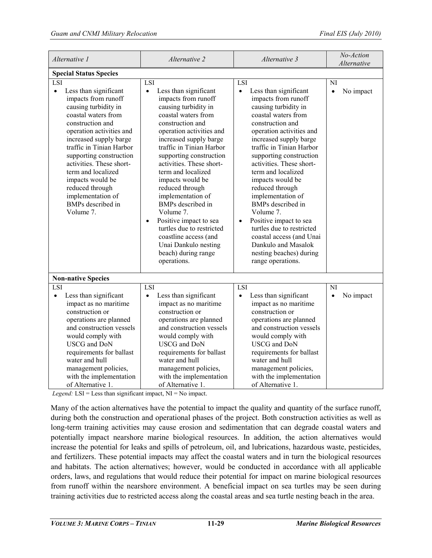| Alternative 1                                                                                                                                                                                                                                                                                                                                                                                    | Alternative 2                                                                                                                                                                                                                                                                                                                                                                                                                                                                                                                                        | Alternative 3                                                                                                                                                                                                                                                                                                                                                                                                                                                                                                                                                    | No-Action<br>Alternative     |  |
|--------------------------------------------------------------------------------------------------------------------------------------------------------------------------------------------------------------------------------------------------------------------------------------------------------------------------------------------------------------------------------------------------|------------------------------------------------------------------------------------------------------------------------------------------------------------------------------------------------------------------------------------------------------------------------------------------------------------------------------------------------------------------------------------------------------------------------------------------------------------------------------------------------------------------------------------------------------|------------------------------------------------------------------------------------------------------------------------------------------------------------------------------------------------------------------------------------------------------------------------------------------------------------------------------------------------------------------------------------------------------------------------------------------------------------------------------------------------------------------------------------------------------------------|------------------------------|--|
| <b>Special Status Species</b>                                                                                                                                                                                                                                                                                                                                                                    |                                                                                                                                                                                                                                                                                                                                                                                                                                                                                                                                                      |                                                                                                                                                                                                                                                                                                                                                                                                                                                                                                                                                                  |                              |  |
| LSI                                                                                                                                                                                                                                                                                                                                                                                              | LSI                                                                                                                                                                                                                                                                                                                                                                                                                                                                                                                                                  | LSI                                                                                                                                                                                                                                                                                                                                                                                                                                                                                                                                                              | NI                           |  |
| Less than significant<br>$\bullet$<br>impacts from runoff<br>causing turbidity in<br>coastal waters from<br>construction and<br>operation activities and<br>increased supply barge<br>traffic in Tinian Harbor<br>supporting construction<br>activities. These short-<br>term and localized<br>impacts would be<br>reduced through<br>implementation of<br><b>BMPs</b> described in<br>Volume 7. | Less than significant<br>$\bullet$<br>impacts from runoff<br>causing turbidity in<br>coastal waters from<br>construction and<br>operation activities and<br>increased supply barge<br>traffic in Tinian Harbor<br>supporting construction<br>activities. These short-<br>term and localized<br>impacts would be<br>reduced through<br>implementation of<br>BMPs described in<br>Volume 7.<br>Positive impact to sea<br>$\bullet$<br>turtles due to restricted<br>coastline access (and<br>Unai Dankulo nesting<br>beach) during range<br>operations. | Less than significant<br>$\bullet$<br>impacts from runoff<br>causing turbidity in<br>coastal waters from<br>construction and<br>operation activities and<br>increased supply barge<br>traffic in Tinian Harbor<br>supporting construction<br>activities. These short-<br>term and localized<br>impacts would be<br>reduced through<br>implementation of<br>BMPs described in<br>Volume 7.<br>Positive impact to sea<br>$\bullet$<br>turtles due to restricted<br>coastal access (and Unai<br>Dankulo and Masalok<br>nesting beaches) during<br>range operations. | $\bullet$<br>No impact       |  |
| <b>Non-native Species</b>                                                                                                                                                                                                                                                                                                                                                                        |                                                                                                                                                                                                                                                                                                                                                                                                                                                                                                                                                      |                                                                                                                                                                                                                                                                                                                                                                                                                                                                                                                                                                  |                              |  |
| LSI<br>Less than significant<br>$\bullet$<br>impact as no maritime<br>construction or<br>operations are planned<br>and construction vessels<br>would comply with<br><b>USCG</b> and DoN<br>requirements for ballast<br>water and hull<br>management policies,<br>with the implementation<br>of Alternative 1.                                                                                    | LSI<br>Less than significant<br>impact as no maritime<br>construction or<br>operations are planned<br>and construction vessels<br>would comply with<br><b>USCG</b> and DoN<br>requirements for ballast<br>water and hull<br>management policies,<br>with the implementation<br>of Alternative 1.                                                                                                                                                                                                                                                     | LSI<br>Less than significant<br>$\bullet$<br>impact as no maritime<br>construction or<br>operations are planned<br>and construction vessels<br>would comply with<br><b>USCG</b> and DoN<br>requirements for ballast<br>water and hull<br>management policies,<br>with the implementation<br>of Alternative 1.                                                                                                                                                                                                                                                    | NI<br>No impact<br>$\bullet$ |  |

*Legend:* LSI = Less than significant impact, NI = No impact.

Many of the action alternatives have the potential to impact the quality and quantity of the surface runoff, during both the construction and operational phases of the project. Both construction activities as well as long-term training activities may cause erosion and sedimentation that can degrade coastal waters and potentially impact nearshore marine biological resources. In addition, the action alternatives would increase the potential for leaks and spills of petroleum, oil, and lubrications, hazardous waste, pesticides, and fertilizers. These potential impacts may affect the coastal waters and in turn the biological resources and habitats. The action alternatives; however, would be conducted in accordance with all applicable orders, laws, and regulations that would reduce their potential for impact on marine biological resources from runoff within the nearshore environment. A beneficial impact on sea turtles may be seen during training activities due to restricted access along the coastal areas and sea turtle nesting beach in the area.